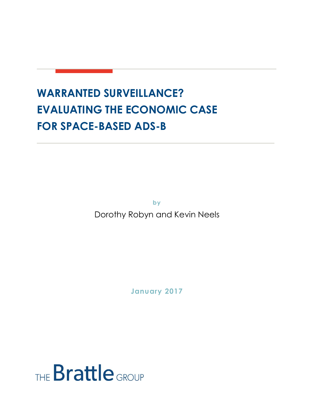# **WARRANTED SURVEILLANCE? EVALUATING THE ECONOMIC CASE FOR SPACE-BASED ADS-B**

**by**

Dorothy Robyn and Kevin Neels

**January 2017**

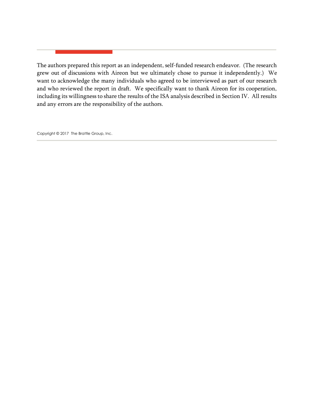The authors prepared this report as an independent, self-funded research endeavor. (The research grew out of discussions with Aireon but we ultimately chose to pursue it independently.) We want to acknowledge the many individuals who agreed to be interviewed as part of our research and who reviewed the report in draft. We specifically want to thank Aireon for its cooperation, including its willingness to share the results of the ISA analysis described in Section IV. All results and any errors are the responsibility of the authors.

Copyright © 2017 The Brattle Group, Inc.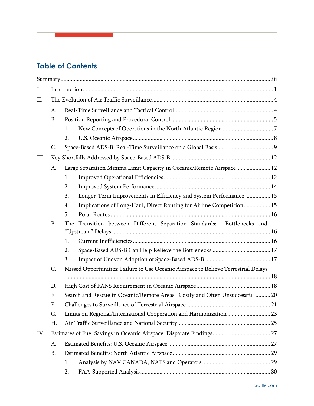# **Table of Contents**

| Ι.   |           |                                                                                     |  |  |  |
|------|-----------|-------------------------------------------------------------------------------------|--|--|--|
| II.  |           |                                                                                     |  |  |  |
|      | A.        |                                                                                     |  |  |  |
|      | <b>B.</b> |                                                                                     |  |  |  |
|      |           | 1.                                                                                  |  |  |  |
|      |           | 2.                                                                                  |  |  |  |
|      | C.        |                                                                                     |  |  |  |
| III. |           |                                                                                     |  |  |  |
|      | A.        | Large Separation Minima Limit Capacity in Oceanic/Remote Airspace 12                |  |  |  |
|      |           | 1.                                                                                  |  |  |  |
|      |           | 2.                                                                                  |  |  |  |
|      |           | 3.<br>Longer-Term Improvements in Efficiency and System Performance  15             |  |  |  |
|      |           | Implications of Long-Haul, Direct Routing for Airline Competition 15<br>4.          |  |  |  |
|      |           | 5.                                                                                  |  |  |  |
|      | <b>B.</b> | Transition between Different Separation Standards: Bottlenecks and<br>The           |  |  |  |
|      |           | 1.                                                                                  |  |  |  |
|      |           | 2.                                                                                  |  |  |  |
|      |           | 3.                                                                                  |  |  |  |
|      | C.        | Missed Opportunities: Failure to Use Oceanic Airspace to Relieve Terrestrial Delays |  |  |  |
|      |           |                                                                                     |  |  |  |
|      | D.        |                                                                                     |  |  |  |
|      | Ε.        | Search and Rescue in Oceanic/Remote Areas: Costly and Often Unsuccessful  20        |  |  |  |
|      | F.        |                                                                                     |  |  |  |
|      | G.        |                                                                                     |  |  |  |
|      | Η.        |                                                                                     |  |  |  |
| IV.  |           |                                                                                     |  |  |  |
|      | A.        |                                                                                     |  |  |  |
|      | <b>B.</b> |                                                                                     |  |  |  |
|      |           | 1.                                                                                  |  |  |  |
|      |           | 2.                                                                                  |  |  |  |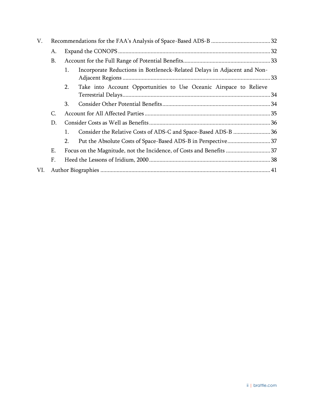| V.  |           |                                                                     |                                                                          |  |
|-----|-----------|---------------------------------------------------------------------|--------------------------------------------------------------------------|--|
|     | A.        |                                                                     |                                                                          |  |
|     | <b>B.</b> |                                                                     |                                                                          |  |
|     |           | 1.                                                                  | Incorporate Reductions in Bottleneck-Related Delays in Adjacent and Non- |  |
|     |           | 2.                                                                  | Take into Account Opportunities to Use Oceanic Airspace to Relieve       |  |
|     |           | 3.                                                                  |                                                                          |  |
|     | C.        |                                                                     |                                                                          |  |
|     | D.        |                                                                     |                                                                          |  |
|     |           | 1.                                                                  | Consider the Relative Costs of ADS-C and Space-Based ADS-B 36            |  |
|     |           | 2.                                                                  | Put the Absolute Costs of Space-Based ADS-B in Perspective37             |  |
|     | Ε.        | Focus on the Magnitude, not the Incidence, of Costs and Benefits 37 |                                                                          |  |
|     | F.        |                                                                     |                                                                          |  |
| VI. |           |                                                                     |                                                                          |  |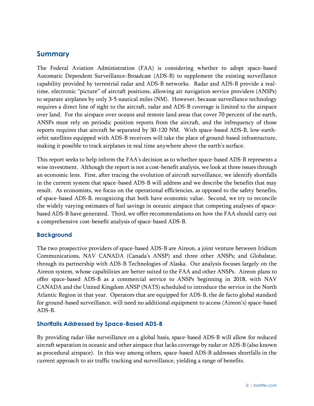# <span id="page-4-0"></span>**Summary**

The Federal Aviation Administration (FAA) is considering whether to adopt space-based Automatic Dependent Surveillance-Broadcast (ADS-B) to supplement the existing surveillance capability provided by terrestrial radar and ADS-B networks. Radar and ADS-B provide a realtime, electronic "picture" of aircraft positions, allowing air navigation service providers (ANSPs) to separate airplanes by only 3-5 nautical miles (NM). However, because surveillance technology requires a direct line of sight to the aircraft, radar and ADS-B coverage is limited to the airspace over land. For the airspace over oceans and remote land areas that cover 70 percent of the earth, ANSPs must rely on periodic position reports from the aircraft, and the infrequency of those reports requires that aircraft be separated by 30-120 NM. With space-based ADS-B, low-earthorbit satellites equipped with ADS-B receivers will take the place of ground-based infrastructure, making it possible to track airplanes in real time anywhere above the earth's surface.

This report seeks to help inform the FAA's decision as to whether space-based ADS-B represents a wise investment. Although the report is not a cost-benefit analysis, we look at three issues through an economic lens. First, after tracing the evolution of aircraft surveillance, we identify shortfalls in the current system that space-based ADS-B will address and we describe the benefits that may result. As economists, we focus on the operational efficiencies, as opposed to the safety benefits, of space-based ADS-B, recognizing that both have economic value. Second, we try to reconcile the widely varying estimates of fuel savings in oceanic airspace that competing analyses of spacebased ADS-B have generated. Third, we offer recommendations on how the FAA should carry out a comprehensive cost-benefit analysis of space-based ADS-B.

#### **Background**

The two prospective providers of space-based ADS-B are Aireon, a joint venture between Iridium Communications, NAV CANADA (Canada's ANSP) and three other ANSPs; and Globalstar, through its partnership with ADS-B Technologies of Alaska. Our analysis focuses largely on the Aireon system, whose capabilities are better suited to the FAA and other ANSPs. Aireon plans to offer space-based ADS-B as a commercial service to ANSPs beginning in 2018, with NAV CANADA and the United Kingdom ANSP (NATS) scheduled to introduce the service in the North Atlantic Region in that year. Operators that are equipped for ADS-B, the de facto global standard for ground-based surveillance, will need no additional equipment to access (Aireon's) space-based ADS-B.

#### **Shortfalls Addressed by Space-Based ADS-B**

By providing radar-like surveillance on a global basis, space-based ADS-B will allow for reduced aircraft separation in oceanic and other airspace that lacks coverage by radar or ADS-B (also known as procedural airspace). In this way among others, space-based ADS-B addresses shortfalls in the current approach to air traffic tracking and surveillance, yielding a range of benefits.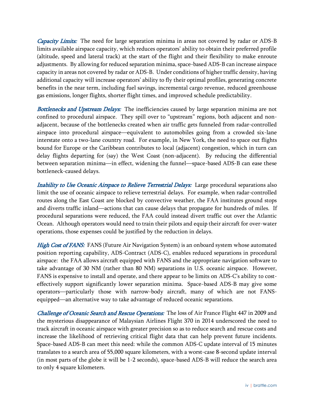*Capacity Limits:* The need for large separation minima in areas not covered by radar or ADS-B limits available airspace capacity, which reduces operators' ability to obtain their preferred profile (altitude, speed and lateral track) at the start of the flight and their flexibility to make enroute adjustments. By allowing for reduced separation minima, space-based ADS-B can increase airspace capacity in areas not covered by radar or ADS-B. Under conditions of higher traffic density, having additional capacity will increase operators' ability to fly their optimal profiles, generating concrete benefits in the near term, including fuel savings, incremental cargo revenue, reduced greenhouse gas emissions, longer flights, shorter flight times, and improved schedule predictability.

Bottlenecks and Upstream Delays: The inefficiencies caused by large separation minima are not confined to procedural airspace. They spill over to "upstream" regions, both adjacent and nonadjacent, because of the bottlenecks created when air traffic gets funneled from radar-controlled airspace into procedural airspace—equivalent to automobiles going from a crowded six-lane interstate onto a two-lane country road. For example, in New York, the need to space out flights bound for Europe or the Caribbean contributes to local (adjacent) congestion, which in turn can delay flights departing for (say) the West Coast (non-adjacent). By reducing the differential between separation minima—in effect, widening the funnel—space-based ADS-B can ease these bottleneck-caused delays.

*Inability to Use Oceanic Airspace to Relieve Terrestrial Delays:* Large procedural separations also limit the use of oceanic airspace to relieve terrestrial delays. For example, when radar-controlled routes along the East Coast are blocked by convective weather, the FAA institutes ground stops and diverts traffic inland—actions that can cause delays that propagate for hundreds of miles. If procedural separations were reduced, the FAA could instead divert traffic out over the Atlantic Ocean. Although operators would need to train their pilots and equip their aircraft for over-water operations, those expenses could be justified by the reduction in delays.

High Cost of FANS: FANS (Future Air Navigation System) is an onboard system whose automated position reporting capability, ADS-Contract (ADS-C), enables reduced separations in procedural airspace: the FAA allows aircraft equipped with FANS and the appropriate navigation software to take advantage of 30 NM (rather than 80 NM) separations in U.S. oceanic airspace. However, FANS is expensive to install and operate, and there appear to be limits on ADS-C's ability to costeffectively support significantly lower separation minima. Space-based ADS-B may give some operators—particularly those with narrow-body aircraft, many of which are not FANSequipped—an alternative way to take advantage of reduced oceanic separations.

Challenge of Oceanic Search and Rescue Operations: The loss of Air France Flight 447 in 2009 and the mysterious disappearance of Malaysian Airlines Flight 370 in 2014 underscored the need to track aircraft in oceanic airspace with greater precision so as to reduce search and rescue costs and increase the likelihood of retrieving critical flight data that can help prevent future incidents. Space-based ADS-B can meet this need: while the common ADS-C update interval of 15 minutes translates to a search area of 55,000 square kilometers, with a worst-case 8-second update interval (in most parts of the globe it will be 1-2 seconds), space-based ADS-B will reduce the search area to only 4 square kilometers.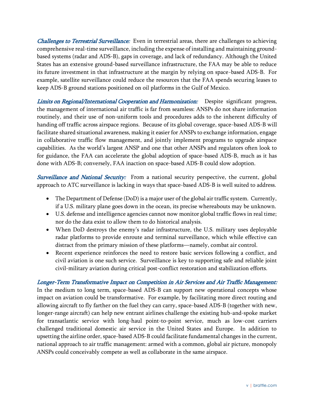*Challenges to Terrestrial Surveillance:* Even in terrestrial areas, there are challenges to achieving comprehensive real-time surveillance, including the expense of installing and maintaining groundbased systems (radar and ADS-B), gaps in coverage, and lack of redundancy. Although the United States has an extensive ground-based surveillance infrastructure, the FAA may be able to reduce its future investment in that infrastructure at the margin by relying on space-based ADS-B. For example, satellite surveillance could reduce the resources that the FAA spends securing leases to keep ADS-B ground stations positioned on oil platforms in the Gulf of Mexico.

Limits on Regional/International Cooperation and Harmonization: Despite significant progress, the management of international air traffic is far from seamless: ANSPs do not share information routinely, and their use of non-uniform tools and procedures adds to the inherent difficulty of handing off traffic across airspace regions. Because of its global coverage, space-based ADS-B will facilitate shared situational awareness, making it easier for ANSPs to exchange information, engage in collaborative traffic flow management, and jointly implement programs to upgrade airspace capabilities. As the world's largest ANSP and one that other ANSPs and regulators often look to for guidance, the FAA can accelerate the global adoption of space-based ADS-B, much as it has done with ADS-B; conversely, FAA inaction on space-based ADS-B could slow adoption.

Surveillance and National Security: From a national security perspective, the current, global approach to ATC surveillance is lacking in ways that space-based ADS-B is well suited to address.

- The Department of Defense (DoD) is a major user of the global air traffic system. Currently, if a U.S. military plane goes down in the ocean, its precise whereabouts may be unknown.
- U.S. defense and intelligence agencies cannot now monitor global traffic flows in real time; nor do the data exist to allow them to do historical analysis.
- When DoD destroys the enemy's radar infrastructure, the U.S. military uses deployable radar platforms to provide enroute and terminal surveillance, which while effective can distract from the primary mission of these platforms—namely, combat air control.
- Recent experience reinforces the need to restore basic services following a conflict, and civil aviation is one such service. Surveillance is key to supporting safe and reliable joint civil-military aviation during critical post-conflict restoration and stabilization efforts.

Longer-Term Transformative Impact on Competition in Air Services and Air Traffic Management: In the medium to long term, space-based ADS-B can support new operational concepts whose impact on aviation could be transformative. For example, by facilitating more direct routing and allowing aircraft to fly farther on the fuel they can carry, space-based ADS-B (together with new, longer-range aircraft) can help new entrant airlines challenge the existing hub-and-spoke market for transatlantic service with long-haul point-to-point service, much as low-cost carriers challenged traditional domestic air service in the United States and Europe. In addition to upsetting the airline order, space-based ADS-B could facilitate fundamental changes in the current, national approach to air traffic management: armed with a common, global air picture, monopoly ANSPs could conceivably compete as well as collaborate in the same airspace.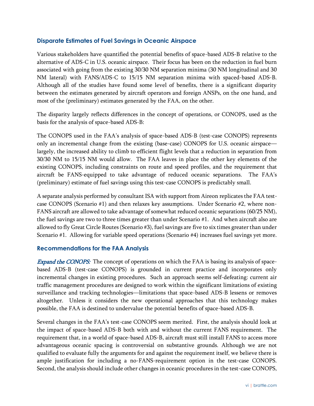#### **Disparate Estimates of Fuel Savings in Oceanic Airspace**

Various stakeholders have quantified the potential benefits of space-based ADS-B relative to the alternative of ADS-C in U.S. oceanic airspace. Their focus has been on the reduction in fuel burn associated with going from the existing 30/30 NM separation minima (30 NM longitudinal and 30 NM lateral) with FANS/ADS-C to 15/15 NM separation minima with spaced-based ADS-B. Although all of the studies have found some level of benefits, there is a significant disparity between the estimates generated by aircraft operators and foreign ANSPs, on the one hand, and most of the (preliminary) estimates generated by the FAA, on the other.

The disparity largely reflects differences in the concept of operations, or CONOPS, used as the basis for the analysis of space-based ADS-B:

The CONOPS used in the FAA's analysis of space-based ADS-B (test-case CONOPS) represents only an incremental change from the existing (base-case) CONOPS for U.S. oceanic airspace largely, the increased ability to climb to efficient flight levels that a reduction in separation from 30/30 NM to 15/15 NM would allow. The FAA leaves in place the other key elements of the existing CONOPS, including constraints on route and speed profiles, and the requirement that aircraft be FANS-equipped to take advantage of reduced oceanic separations. The FAA's (preliminary) estimate of fuel savings using this test-case CONOPS is predictably small.

A separate analysis performed by consultant ISA with support from Aireon replicates the FAA testcase CONOPS (Scenario #1) and then relaxes key assumptions. Under Scenario #2, where non-FANS aircraft are allowed to take advantage of somewhat reduced oceanic separations (60/25 NM), the fuel savings are two to three times greater than under Scenario #1. And when aircraft also are allowed to fly Great Circle Routes (Scenario #3), fuel savings are five to six times greater than under Scenario #1. Allowing for variable speed operations (Scenario #4) increases fuel savings yet more.

#### **Recommendations for the FAA Analysis**

Expand the CONOPS: The concept of operations on which the FAA is basing its analysis of spacebased ADS-B (test-case CONOPS) is grounded in current practice and incorporates only incremental changes in existing procedures. Such an approach seems self-defeating: current air traffic management procedures are designed to work within the significant limitations of existing surveillance and tracking technologies—limitations that space-based ADS-B lessens or removes altogether. Unless it considers the new operational approaches that this technology makes possible, the FAA is destined to undervalue the potential benefits of space-based ADS-B.

Several changes in the FAA's test-case CONOPS seem merited. First, the analysis should look at the impact of space-based ADS-B both with and without the current FANS requirement. The requirement that, in a world of space-based ADS-B, aircraft must still install FANS to access more advantageous oceanic spacing is controversial on substantive grounds. Although we are not qualified to evaluate fully the arguments for and against the requirement itself, we believe there is ample justification for including a no-FANS-requirement option in the test-case CONOPS. Second, the analysis should include other changes in oceanic procedures in the test-case CONOPS,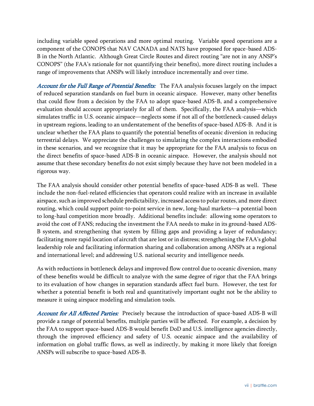including variable speed operations and more optimal routing. Variable speed operations are a component of the CONOPS that NAV CANADA and NATS have proposed for space-based ADS-B in the North Atlantic. Although Great Circle Routes and direct routing "are not in any ANSP's CONOPS" (the FAA's rationale for not quantifying their benefits), more direct routing includes a range of improvements that ANSPs will likely introduce incrementally and over time.

Account for the Full Range of Potential Benefits: The FAA analysis focuses largely on the impact of reduced separation standards on fuel burn in oceanic airspace. However, many other benefits that could flow from a decision by the FAA to adopt space-based ADS-B, and a comprehensive evaluation should account appropriately for all of them. Specifically, the FAA analysis—which simulates traffic in U.S. oceanic airspace—neglects some if not all of the bottleneck-caused delays in upstream regions, leading to an understatement of the benefits of space-based ADS-B. And it is unclear whether the FAA plans to quantify the potential benefits of oceanic diversion in reducing terrestrial delays. We appreciate the challenges to simulating the complex interactions embodied in these scenarios, and we recognize that it may be appropriate for the FAA analysis to focus on the direct benefits of space-based ADS-B in oceanic airspace. However, the analysis should not assume that these secondary benefits do not exist simply because they have not been modeled in a rigorous way.

The FAA analysis should consider other potential benefits of space-based ADS-B as well. These include the non-fuel-related efficiencies that operators could realize with an increase in available airspace, such as improved schedule predictability, increased access to polar routes, and more direct routing, which could support point-to-point service in new, long-haul markets—a potential boon to long-haul competition more broadly. Additional benefits include: allowing some operators to avoid the cost of FANS; reducing the investment the FAA needs to make in its ground-based ADS-B system, and strengthening that system by filling gaps and providing a layer of redundancy; facilitating more rapid location of aircraft that are lost or in distress; strengthening the FAA's global leadership role and facilitating information sharing and collaboration among ANSPs at a regional and international level; and addressing U.S. national security and intelligence needs.

As with reductions in bottleneck delays and improved flow control due to oceanic diversion, many of these benefits would be difficult to analyze with the same degree of rigor that the FAA brings to its evaluation of how changes in separation standards affect fuel burn. However, the test for whether a potential benefit is both real and quantitatively important ought not be the ability to measure it using airspace modeling and simulation tools.

Account for All Affected Parties: Precisely because the introduction of space-based ADS-B will provide a range of potential benefits, multiple parties will be affected. For example, a decision by the FAA to support space-based ADS-B would benefit DoD and U.S. intelligence agencies directly, through the improved efficiency and safety of U.S. oceanic airspace and the availability of information on global traffic flows, as well as indirectly, by making it more likely that foreign ANSPs will subscribe to space-based ADS-B.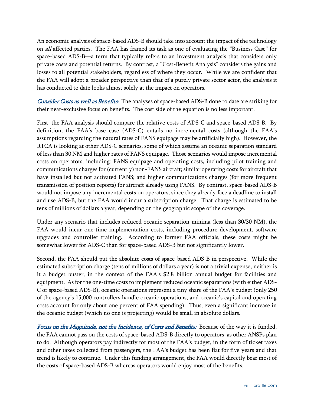An economic analysis of space-based ADS-B should take into account the impact of the technology on all affected parties. The FAA has framed its task as one of evaluating the "Business Case" for space-based ADS-B—a term that typically refers to an investment analysis that considers only private costs and potential returns. By contrast, a "Cost-Benefit Analysis" considers the gains and losses to all potential stakeholders, regardless of where they occur. While we are confident that the FAA will adopt a broader perspective than that of a purely private sector actor, the analysis it has conducted to date looks almost solely at the impact on operators.

Consider Costs as well as Benefits: The analyses of space-based ADS-B done to date are striking for their near-exclusive focus on benefits. The cost side of the equation is no less important.

First, the FAA analysis should compare the relative costs of ADS-C and space-based ADS-B. By definition, the FAA's base case (ADS-C) entails no incremental costs (although the FAA's assumptions regarding the natural rates of FANS equipage may be artificially high). However, the RTCA is looking at other ADS-C scenarios, some of which assume an oceanic separation standard of less than 30 NM and higher rates of FANS equipage. Those scenarios would impose incremental costs on operators, including: FANS equipage and operating costs, including pilot training and communications charges for (currently) non-FANS aircraft; similar operating costs for aircraft that have installed but not activated FANS; and higher communications charges (for more frequent transmission of position reports) for aircraft already using FANS. By contrast, space-based ADS-B would not impose any incremental costs on operators, since they already face a deadline to install and use ADS-B, but the FAA would incur a subscription charge. That charge is estimated to be tens of millions of dollars a year, depending on the geographic scope of the coverage.

Under any scenario that includes reduced oceanic separation minima (less than 30/30 NM), the FAA would incur one-time implementation costs, including procedure development, software upgrades and controller training. According to former FAA officials, these costs might be somewhat lower for ADS-C than for space-based ADS-B but not significantly lower.

Second, the FAA should put the absolute costs of space-based ADS-B in perspective. While the estimated subscription charge (tens of millions of dollars a year) is not a trivial expense, neither is it a budget buster, in the context of the FAA's \$2.8 billion annual budget for facilities and equipment. As for the one-time costs to implement reduced oceanic separations (with either ADS-C or space-based ADS-B), oceanic operations represent a tiny share of the FAA's budget (only 250 of the agency's 15,000 controllers handle oceanic operations, and oceanic's capital and operating costs account for only about one percent of FAA spending). Thus, even a significant increase in the oceanic budget (which no one is projecting) would be small in absolute dollars.

Focus on the Magnitude, not the Incidence, of Costs and Benefits: Because of the way it is funded, the FAA cannot pass on the costs of space-based ADS-B directly to operators, as other ANSPs plan to do. Although operators pay indirectly for most of the FAA's budget, in the form of ticket taxes and other taxes collected from passengers, the FAA's budget has been flat for five years and that trend is likely to continue. Under this funding arrangement, the FAA would directly bear most of the costs of space-based ADS-B whereas operators would enjoy most of the benefits.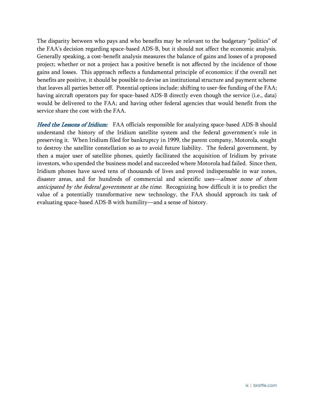The disparity between who pays and who benefits may be relevant to the budgetary "politics" of the FAA's decision regarding space-based ADS-B, but it should not affect the economic analysis. Generally speaking, a cost-benefit analysis measures the balance of gains and losses of a proposed project; whether or not a project has a positive benefit is not affected by the incidence of those gains and losses. This approach reflects a fundamental principle of economics: if the overall net benefits are positive, it should be possible to devise an institutional structure and payment scheme that leaves all parties better off. Potential options include: shifting to user-fee funding of the FAA; having aircraft operators pay for space-based ADS-B directly even though the service (i.e., data) would be delivered to the FAA; and having other federal agencies that would benefit from the service share the cost with the FAA.

Heed the Lessons of Iridium: FAA officials responsible for analyzing space-based ADS-B should understand the history of the Iridium satellite system and the federal government's role in preserving it. When Iridium filed for bankruptcy in 1999, the parent company, Motorola, sought to destroy the satellite constellation so as to avoid future liability. The federal government, by then a major user of satellite phones, quietly facilitated the acquisition of Iridium by private investors, who upended the business model and succeeded where Motorola had failed. Since then, Iridium phones have saved tens of thousands of lives and proved indispensable in war zones, disaster areas, and for hundreds of commercial and scientific uses—almost none of them anticipated by the federal government at the time. Recognizing how difficult it is to predict the value of a potentially transformative new technology, the FAA should approach its task of evaluating space-based ADS-B with humility—and a sense of history.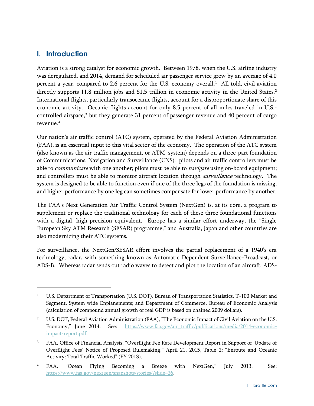# <span id="page-11-0"></span>**I. Introduction**

<sup>-</sup>

Aviation is a strong catalyst for economic growth. Between 1978, when the U.S. airline industry was deregulated, and 2014, demand for scheduled air passenger service grew by an average of 4.0 percent a year, compared to 2.6 percent for the U.S. economy overall.<sup>1</sup> All told, civil aviation directly supports 11.8 million jobs and \$1.5 trillion in economic activity in the United States.<sup>2</sup> International flights, particularly transoceanic flights, account for a disproportionate share of this economic activity. Oceanic flights account for only 8.5 percent of all miles traveled in U.S. controlled airspace, <sup>3</sup> but they generate 31 percent of passenger revenue and 40 percent of cargo revenue.<sup>4</sup>

Our nation's air traffic control (ATC) system, operated by the Federal Aviation Administration (FAA), is an essential input to this vital sector of the economy. The operation of the ATC system (also known as the air traffic management, or ATM, system) depends on a three-part foundation of Communications, Navigation and Surveillance (CNS): pilots and air traffic controllers must be able to *communicate* with one another; pilots must be able to *navigate* using on-board equipment; and controllers must be able to monitor aircraft location through *surveillance* technology. The system is designed to be able to function even if one of the three legs of the foundation is missing, and higher performance by one leg can sometimes compensate for lower performance by another.

The FAA's Next Generation Air Traffic Control System (NextGen) is, at its core, a program to supplement or replace the traditional technology for each of these three foundational functions with a digital, high-precision equivalent. Europe has a similar effort underway, the "Single European Sky ATM Research (SESAR) programme," and Australia, Japan and other countries are also modernizing their ATC systems.

For surveillance, the NextGen/SESAR effort involves the partial replacement of a 1940's era technology, radar, with something known as Automatic Dependent Surveillance-Broadcast, or ADS-B. Whereas radar sends out radio waves to detect and plot the location of an aircraft, ADS-

<sup>&</sup>lt;sup>1</sup> U.S. Department of Transportation (U.S. DOT), Bureau of Transportation Statistics, T-100 Market and Segment, System wide Enplanements; and Department of Commerce, Bureau of Economic Analysis (calculation of compound annual growth of real GDP is based on chained 2009 dollars).

<sup>&</sup>lt;sup>2</sup> U.S. DOT, Federal Aviation Administration (FAA), "The Economic Impact of Civil Aviation on the U.S. Economy," June 2014. See: [https://www.faa.gov/air\\_traffic/publications/media/2014-economic](https://www.faa.gov/air_traffic/publications/media/2014-economic-impact-report.pdf)[impact-report.pdf.](https://www.faa.gov/air_traffic/publications/media/2014-economic-impact-report.pdf)

<sup>&</sup>lt;sup>3</sup> FAA, Office of Financial Analysis, "Overflight Fee Rate Development Report in Support of 'Update of Overflight Fees' Notice of Proposed Rulemaking," April 21, 2015, Table 2: "Enroute and Oceanic Activity: Total Traffic Worked" (FY 2013).

<sup>&</sup>lt;sup>4</sup> FAA, "Ocean Flying Becoming a Breeze with NextGen," July 2013. See: [https://www.faa.gov/nextgen/snapshots/stories/?slide=26.](https://www.faa.gov/nextgen/snapshots/stories/?slide=26)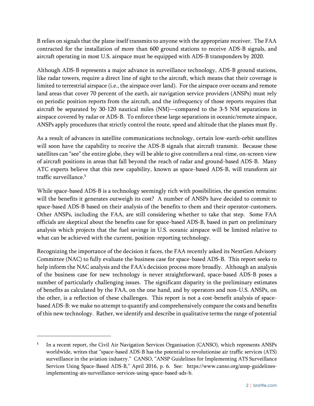B relies on signals that the plane itself transmits to anyone with the appropriate receiver. The FAA contracted for the installation of more than 600 ground stations to receive ADS-B signals, and aircraft operating in most U.S. airspace must be equipped with ADS-B transponders by 2020.

Although ADS-B represents a major advance in surveillance technology, ADS-B ground stations, like radar towers, require a direct line of sight to the aircraft, which means that their coverage is limited to terrestrial airspace (i.e., the airspace over land). For the airspace over oceans and remote land areas that cover 70 percent of the earth, air navigation service providers (ANSPs) must rely on periodic position reports from the aircraft, and the infrequency of those reports requires that aircraft be separated by 30-120 nautical miles (NM)—compared to the 3-5 NM separations in airspace covered by radar or ADS-B. To enforce these large separations in oceanic/remote airspace, ANSPs apply procedures that strictly control the route, speed and altitude that the planes must fly.

As a result of advances in satellite communications technology, certain low-earth-orbit satellites will soon have the capability to receive the ADS-B signals that aircraft transmit. Because these satellites can "see" the entire globe, they will be able to give controllers a real-time, on-screen view of aircraft positions in areas that fall beyond the reach of radar and ground-based ADS-B. Many ATC experts believe that this new capability, known as space-based ADS-B, will transform air traffic surveillance.<sup>5</sup>

While space-based ADS-B is a technology seemingly rich with possibilities, the question remains: will the benefits it generates outweigh its cost? A number of ANSPs have decided to commit to space-based ADS-B based on their analysis of the benefits to them and their operator-customers. Other ANSPs, including the FAA, are still considering whether to take that step. Some FAA officials are skeptical about the benefits case for space-based ADS-B, based in part on preliminary analysis which projects that the fuel savings in U.S. oceanic airspace will be limited relative to what can be achieved with the current, position-reporting technology.

Recognizing the importance of the decision it faces, the FAA recently asked its NextGen Advisory Committee (NAC) to fully evaluate the business case for space-based ADS-B. This report seeks to help inform the NAC analysis and the FAA's decision process more broadly. Although an analysis of the business case for new technology is never straightforward, space-based ADS-B poses a number of particularly challenging issues. The significant disparity in the preliminary estimates of benefits as calculated by the FAA, on the one hand, and by operators and non-U.S. ANSPs, on the other, is a reflection of these challenges. This report is not a cost-benefit analysis of spacebased ADS-B: we make no attempt to quantify and comprehensively compare the costs and benefits of this new technology. Rather, we identify and describe in qualitative terms the range of potential

<sup>5</sup> In a recent report, the Civil Air Navigation Services Organisation (CANSO), which represents ANSPs worldwide, writes that "space-based ADS-B has the potential to revolutionise air traffic services (ATS) surveillance in the aviation industry." CANSO, "ANSP Guidelines for Implementing ATS Surveillance Services Using Space-Based ADS-B," April 2016, p. 6. See: https://www.canso.org/ansp-guidelinesimplementing-ats-surveillance-services-using-space-based-ads-b.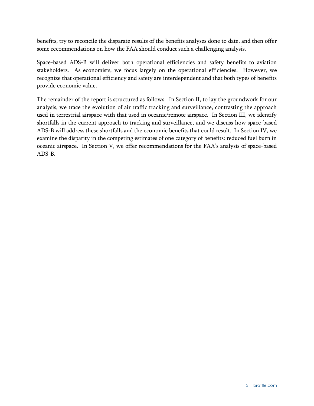benefits, try to reconcile the disparate results of the benefits analyses done to date, and then offer some recommendations on how the FAA should conduct such a challenging analysis.

Space-based ADS-B will deliver both operational efficiencies and safety benefits to aviation stakeholders. As economists, we focus largely on the operational efficiencies. However, we recognize that operational efficiency and safety are interdependent and that both types of benefits provide economic value.

The remainder of the report is structured as follows. In Section II, to lay the groundwork for our analysis, we trace the evolution of air traffic tracking and surveillance, contrasting the approach used in terrestrial airspace with that used in oceanic/remote airspace. In Section III, we identify shortfalls in the current approach to tracking and surveillance, and we discuss how space-based ADS-B will address these shortfalls and the economic benefits that could result. In Section IV, we examine the disparity in the competing estimates of one category of benefits: reduced fuel burn in oceanic airspace. In Section V, we offer recommendations for the FAA's analysis of space-based ADS-B.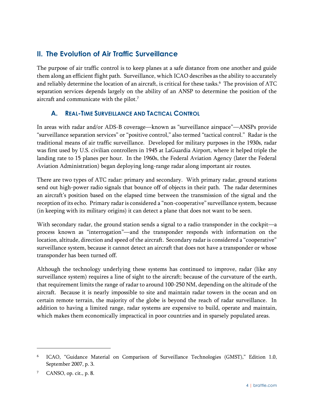# <span id="page-14-0"></span>**II. The Evolution of Air Traffic Surveillance**

The purpose of air traffic control is to keep planes at a safe distance from one another and guide them along an efficient flight path. Surveillance, which ICAO describes as the ability to accurately and reliably determine the location of an aircraft, is critical for these tasks. $\rm^6$  The provision of ATC separation services depends largely on the ability of an ANSP to determine the position of the aircraft and communicate with the pilot.<sup>7</sup>

# <span id="page-14-1"></span>**A. REAL-TIME SURVEILLANCE AND TACTICAL CONTROL**

In areas with radar and/or ADS-B coverage—known as "surveillance airspace"—ANSPs provide "surveillance separation services" or "positive control," also termed "tactical control." Radar is the traditional means of air traffic surveillance. Developed for military purposes in the 1930s, radar was first used by U.S. civilian controllers in 1945 at LaGuardia Airport, where it helped triple the landing rate to 15 planes per hour. In the 1960s, the Federal Aviation Agency (later the Federal Aviation Administration) began deploying long-range radar along important air routes.

There are two types of ATC radar: primary and secondary. With primary radar, ground stations send out high-power radio signals that bounce off of objects in their path. The radar determines an aircraft's position based on the elapsed time between the transmission of the signal and the reception of its echo. Primary radar is considered a "non-cooperative" surveillance system, because (in keeping with its military origins) it can detect a plane that does not want to be seen.

With secondary radar, the ground station sends a signal to a radio transponder in the cockpit—a process known as "interrogation"—and the transponder responds with information on the location, altitude, direction and speed of the aircraft. Secondary radar is considered a "cooperative" surveillance system, because it cannot detect an aircraft that does not have a transponder or whose transponder has been turned off.

Although the technology underlying these systems has continued to improve, radar (like any surveillance system) requires a line of sight to the aircraft; because of the curvature of the earth, that requirement limits the range of radar to around 100-250 NM, depending on the altitude of the aircraft. Because it is nearly impossible to site and maintain radar towers in the ocean and on certain remote terrain, the majority of the globe is beyond the reach of radar surveillance. In addition to having a limited range, radar systems are expensive to build, operate and maintain, which makes them economically impractical in poor countries and in sparsely populated areas.

<sup>6</sup> ICAO, "Guidance Material on Comparison of Surveillance Technologies (GMST)," Edition 1.0, September 2007, p. 3.

<sup>&</sup>lt;sup>7</sup> CANSO, op. cit., p. 8.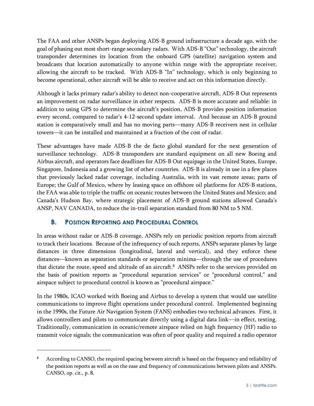The FAA and other ANSPs began deploying ADS-B ground infrastructure a decade ago, with the goal of phasing out most short-range secondary radars. With ADS-B "Out" technology, the aircraft transponder determines its location from the onboard GPS (satellite) navigation system and broadcasts that location automatically to anyone within range with the appropriate receiver, allowing the aircraft to be tracked. With ADS-B "In" technology, which is only beginning to become operational, other aircraft will be able to receive and act on this information directly.

Although it lacks primary radar's ability to detect non-cooperative aircraft, ADS-B Out represents an improvement on radar surveillance in other respects. ADS-B is more accurate and reliable: in addition to using GPS to determine the aircraft's position, ADS-B provides position information every second, compared to radar's 4-12-second update interval. And because an ADS-B ground station is comparatively small and has no moving parts—many ADS-B receivers nest in cellular towers—it can be installed and maintained at a fraction of the cost of radar.

These advantages have made ADS-B the de facto global standard for the next generation of surveillance technology. ADS-B transponders are standard equipment on all new Boeing and Airbus aircraft, and operators face deadlines for ADS-B Out equipage in the United States, Europe, Singapore, Indonesia and a growing list of other countries. ADS-B is already in use in a few places that previously lacked radar coverage, including Australia, with its vast remote areas; parts of Europe; the Gulf of Mexico, where by leasing space on offshore oil platforms for ADS-B stations, the FAA was able to triple the traffic on oceanic routes between the United States and Mexico; and Canada's Hudson Bay, where strategic placement of ADS-B ground stations allowed Canada's ANSP, NAV CANADA, to reduce the in-trail separation standard from 80 NM to 5 NM.

# <span id="page-15-0"></span>**B. POSITION REPORTING AND PROCEDURAL CONTROL**

 $\overline{a}$ 

In areas without radar or ADS-B coverage, ANSPs rely on periodic position reports from aircraft to track their locations. Because of the infrequency of such reports, ANSPs separate planes by large distances in three dimensions (longitudinal, lateral and vertical), and they enforce these distances—known as separation standards or separation minima—through the use of procedures that dictate the route, speed and altitude of an aircraft. <sup>8</sup> ANSPs refer to the services provided on the basis of position reports as "procedural separation services" or "procedural control," and airspace subject to procedural control is known as "procedural airspace."

In the 1980s, ICAO worked with Boeing and Airbus to develop a system that would use satellite communications to improve flight operations under procedural control. Implemented beginning in the 1990s, the Future Air Navigation System (FANS) embodies two technical advances. First, it allows controllers and pilots to communicate directly using a digital data link—in effect, texting. Traditionally, communication in oceanic/remote airspace relied on high frequency (HF) radio to transmit voice signals; the communication was often of poor quality and required a radio operator

<sup>8</sup> According to CANSO, the required spacing between aircraft is based on the frequency and reliability of the position reports as well as on the ease and frequency of communications between pilots and ANSPs. CANSO, op. cit., p. 8.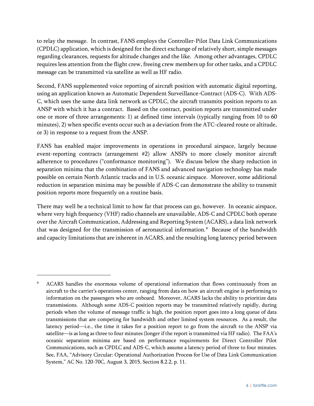to relay the message. In contrast, FANS employs the Controller-Pilot Data Link Communications (CPDLC) application, which is designed for the direct exchange of relatively short, simple messages regarding clearances, requests for altitude changes and the like. Among other advantages, CPDLC requires less attention from the flight crew, freeing crew members up for other tasks, and a CPDLC message can be transmitted via satellite as well as HF radio.

Second, FANS supplemented voice reporting of aircraft position with automatic digital reporting, using an application known as Automatic Dependent Surveillance-Contract (ADS-C). With ADS-C, which uses the same data link network as CPDLC, the aircraft transmits position reports to an ANSP with which it has a contract. Based on the contract, position reports are transmitted under one or more of three arrangements: 1) at defined time intervals (typically ranging from 10 to 60 minutes), 2) when specific events occur such as a deviation from the ATC-cleared route or altitude, or 3) in response to a request from the ANSP.

FANS has enabled major improvements in operations in procedural airspace, largely because event-reporting contracts (arrangement #2) allow ANSPs to more closely monitor aircraft adherence to procedures ("conformance monitoring"). We discuss below the sharp reduction in separation minima that the combination of FANS and advanced navigation technology has made possible on certain North Atlantic tracks and in U.S. oceanic airspace. Moreover, some additional reduction in separation minima may be possible if ADS-C can demonstrate the ability to transmit position reports more frequently on a routine basis.

There may well be a technical limit to how far that process can go, however. In oceanic airspace, where very high frequency (VHF) radio channels are unavailable, ADS-C and CPDLC both operate over the Aircraft Communication, Addressing and Reporting System (ACARS), a data link network that was designed for the transmission of aeronautical information.<sup>9</sup> Because of the bandwidth and capacity limitations that are inherent in ACARS, and the resulting long latency period between

<sup>9</sup> ACARS handles the enormous volume of operational information that flows continuously from an aircraft to the carrier's operations center, ranging from data on how an aircraft engine is performing to information on the passengers who are onboard. Moreover, ACARS lacks the ability to prioritize data transmissions. Although some ADS-C position reports may be transmitted relatively rapidly, during periods when the volume of message traffic is high, the position report goes into a long queue of data transmissions that are competing for bandwidth and other limited system resources. As a result, the latency period—i.e., the time it takes for a position report to go from the aircraft to the ANSP via satellite—is as long as three to four minutes (longer if the report is transmitted via HF radio). The FAA's oceanic separation minima are based on performance requirements for Direct Controller Pilot Communications, such as CPDLC and ADS-C, which assume a latency period of three to four minutes. See, FAA, "Advisory Circular: Operational Authorization Process for Use of Data Link Communication System," AC No. 120-70C, August 3, 2015, Section 8.2.2, p. 11.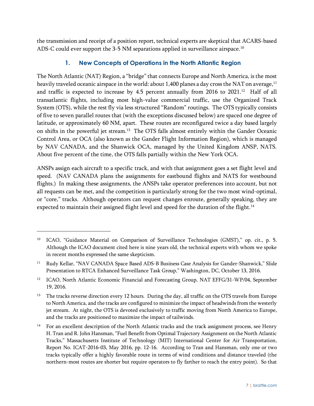<span id="page-17-0"></span>the transmission and receipt of a position report, technical experts are skeptical that ACARS-based ADS-C could ever support the 3-5 NM separations applied in surveillance airspace.<sup>10</sup>

## **1. New Concepts of Operations in the North Atlantic Region**

The North Atlantic (NAT) Region, a "bridge" that connects Europe and North America, is the most heavily traveled oceanic airspace in the world: about 1,400 planes a day cross the NAT on average,<sup>11</sup> and traffic is expected to increase by  $4.5$  percent annually from 2016 to 2021.<sup>12</sup> Half of all transatlantic flights, including most high-value commercial traffic, use the Organized Track System (OTS), while the rest fly via less structured "Random" routings. The OTS typically consists of five to seven parallel routes that (with the exceptions discussed below) are spaced one degree of latitude, or approximately 60 NM, apart. These routes are reconfigured twice a day based largely on shifts in the powerful jet stream.<sup>13</sup> The OTS falls almost entirely within the Gander Oceanic Control Area, or OCA (also known as the Gander Flight Information Region), which is managed by NAV CANADA, and the Shanwick OCA, managed by the United Kingdom ANSP, NATS. About five percent of the time, the OTS falls partially within the New York OCA.

ANSPs assign each aircraft to a specific track, and with that assignment goes a set flight level and speed. (NAV CANADA plans the assignments for eastbound flights and NATS for westbound flights.) In making these assignments, the ANSPs take operator preferences into account, but not all requests can be met, and the competition is particularly strong for the two most wind-optimal, or "core," tracks. Although operators can request changes enroute, generally speaking, they are expected to maintain their assigned flight level and speed for the duration of the flight.<sup>14</sup>

<sup>&</sup>lt;sup>10</sup> ICAO, "Guidance Material on Comparison of Surveillance Technologies (GMST)," op. cit., p. 5. Although the ICAO document cited here is nine years old, the technical experts with whom we spoke in recent months expressed the same skepticism.

<sup>&</sup>lt;sup>11</sup> Rudy Kellar, "NAV CANADA Space Based ADS-B Business Case Analysis for Gander-Shanwick," Slide Presentation to RTCA Enhanced Surveillance Task Group," Washington, DC, October 13, 2016.

<sup>&</sup>lt;sup>12</sup> ICAO, North Atlantic Economic Financial and Forecasting Group, NAT EFFG/31-WP/04, September 19, 2016.

<sup>13</sup> The tracks reverse direction every 12 hours. During the day, all traffic on the OTS travels from Europe to North America, and the tracks are configured to minimize the impact of headwinds from the westerly jet stream. At night, the OTS is devoted exclusively to traffic moving from North America to Europe, and the tracks are positioned to maximize the impact of tailwinds.

<sup>&</sup>lt;sup>14</sup> For an excellent description of the North Atlantic tracks and the track assignment process, see Henry H. Tran and R. John Hansman, "Fuel Benefit from Optimal Trajectory Assignment on the North Atlantic Tracks," Massachusetts Institute of Technology (MIT) International Center for Air Transportation, Report No. ICAT-2016-03, May 2016, pp. 12-16. According to Tran and Hansman, only one or two tracks typically offer a highly favorable route in terms of wind conditions and distance traveled (the northern-most routes are shorter but require operators to fly farther to reach the entry point). So that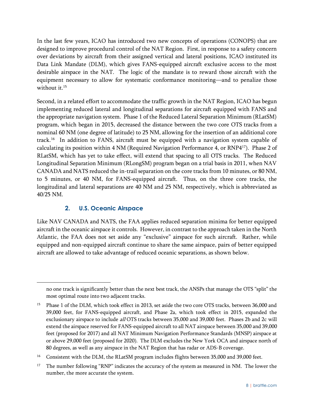In the last few years, ICAO has introduced two new concepts of operations (CONOPS) that are designed to improve procedural control of the NAT Region. First, in response to a safety concern over deviations by aircraft from their assigned vertical and lateral positions, ICAO instituted its Data Link Mandate (DLM), which gives FANS-equipped aircraft exclusive access to the most desirable airspace in the NAT. The logic of the mandate is to reward those aircraft with the equipment necessary to allow for systematic conformance monitoring—and to penalize those without it.<sup>15</sup>

Second, in a related effort to accommodate the traffic growth in the NAT Region, ICAO has begun implementing reduced lateral and longitudinal separations for aircraft equipped with FANS and the appropriate navigation system. Phase 1 of the Reduced Lateral Separation Minimum (RLatSM) program, which began in 2015, decreased the distance between the two core OTS tracks from a nominal 60 NM (one degree of latitude) to 25 NM, allowing for the insertion of an additional core track.<sup>16</sup> In addition to FANS, aircraft must be equipped with a navigation system capable of calculating its position within 4 NM (Required Navigation Performance 4, or RNP4 <sup>17</sup>). Phase 2 of RLatSM, which has yet to take effect, will extend that spacing to all OTS tracks. The Reduced Longitudinal Separation Minimum (RLongSM) program began on a trial basis in 2011, when NAV CANADA and NATS reduced the in-trail separation on the core tracks from 10 minutes, or 80 NM, to 5 minutes, or 40 NM, for FANS-equipped aircraft. Thus, on the three core tracks, the longitudinal and lateral separations are 40 NM and 25 NM, respectively, which is abbreviated as 40/25 NM.

# **2. U.S. Oceanic Airspace**

<sup>-</sup>

<span id="page-18-0"></span>Like NAV CANADA and NATS, the FAA applies reduced separation minima for better equipped aircraft in the oceanic airspace it controls. However, in contrast to the approach taken in the North Atlantic, the FAA does not set aside any "exclusive" airspace for such aircraft. Rather, while equipped and non-equipped aircraft continue to share the same airspace, pairs of better equipped aircraft are allowed to take advantage of reduced oceanic separations, as shown below.

no one track is significantly better than the next best track, the ANSPs that manage the OTS "split" the most optimal route into two adjacent tracks.

<sup>&</sup>lt;sup>15</sup> Phase 1 of the DLM, which took effect in 2013, set aside the two core OTS tracks, between 36,000 and 39,000 feet, for FANS-equipped aircraft, and Phase 2a, which took effect in 2015, expanded the exclusionary airspace to include all OTS tracks between 35,000 and 39,000 feet. Phases 2b and 2c will extend the airspace reserved for FANS-equipped aircraft to all NAT airspace between 35,000 and 39,000 feet (proposed for 2017) and all NAT Minimum Navigation Performance Standards (MNSP) airspace at or above 29,000 feet (proposed for 2020). The DLM excludes the New York OCA and airspace north of 80 degrees, as well as any airspace in the NAT Region that has radar or ADS-B coverage.

<sup>&</sup>lt;sup>16</sup> Consistent with the DLM, the RLatSM program includes flights between 35,000 and 39,000 feet.

<sup>&</sup>lt;sup>17</sup> The number following "RNP" indicates the accuracy of the system as measured in NM. The lower the number, the more accurate the system.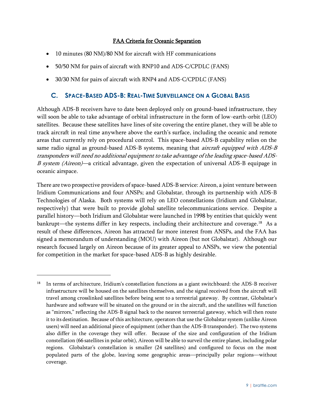#### FAA Criteria for Oceanic Separation

- 10 minutes (80 NM)/80 NM for aircraft with HF communications
- 50/50 NM for pairs of aircraft with RNP10 and ADS-C/CPDLC (FANS)
- <span id="page-19-0"></span>30/30 NM for pairs of aircraft with RNP4 and ADS-C/CPDLC (FANS)

# **C. SPACE-BASED ADS-B: REAL-TIME SURVEILLANCE ON A GLOBAL BASIS**

Although ADS-B receivers have to date been deployed only on ground-based infrastructure, they will soon be able to take advantage of orbital infrastructure in the form of low-earth-orbit (LEO) satellites. Because these satellites have lines of site covering the entire planet, they will be able to track aircraft in real time anywhere above the earth's surface, including the oceanic and remote areas that currently rely on procedural control. This space-based ADS-B capability relies on the same radio signal as ground-based ADS-B systems, meaning that *aircraft equipped with ADS-B* transponders will need no additional equipment to take advantage of the leading space-based ADS-<sup>B</sup> system (Aireon)—a critical advantage, given the expectation of universal ADS-B equipage in oceanic airspace.

There are two prospective providers of space-based ADS-B service: Aireon, a joint venture between Iridium Communications and four ANSPs; and Globalstar, through its partnership with ADS-B Technologies of Alaska. Both systems will rely on LEO constellations (Iridium and Globalstar, respectively) that were built to provide global satellite telecommunications service. Despite a parallel history—both Iridium and Globalstar were launched in 1998 by entities that quickly went bankrupt—the systems differ in key respects, including their architecture and coverage.<sup>18</sup> As a result of these differences, Aireon has attracted far more interest from ANSPs, and the FAA has signed a memorandum of understanding (MOU) with Aireon (but not Globalstar). Although our research focused largely on Aireon because of its greater appeal to ANSPs, we view the potential for competition in the market for space-based ADS-B as highly desirable.

<sup>&</sup>lt;sup>18</sup> In terms of architecture, Iridium's constellation functions as a giant switchboard: the ADS-B receiver infrastructure will be housed on the satellites themselves, and the signal received from the aircraft will travel among crosslinked satellites before being sent to a terrestrial gateway. By contrast, Globalstar's hardware and software will be situated on the ground or in the aircraft, and the satellites will function as "mirrors," reflecting the ADS-B signal back to the nearest terrestrial gateway, which will then route it to its destination. Because of this architecture, operators that use the Globalstar system (unlike Aireon users) will need an additional piece of equipment (other than the ADS-B transponder). The two systems also differ in the coverage they will offer. Because of the size and configuration of the Iridium constellation (66 satellites in polar orbit), Aireon will be able to surveil the entire planet, including polar regions. Globalstar's constellation is smaller (24 satellites) and configured to focus on the most populated parts of the globe, leaving some geographic areas—principally polar regions—without coverage.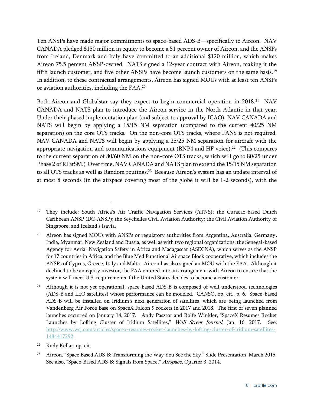Ten ANSPs have made major commitments to space-based ADS-B—specifically to Aireon. NAV CANADA pledged \$150 million in equity to become a 51 percent owner of Aireon, and the ANSPs from Ireland, Denmark and Italy have committed to an additional \$120 million, which makes Aireon 75.5 percent ANSP-owned. NATS signed a 12-year contract with Aireon, making it the fifth launch customer, and five other ANSPs have become launch customers on the same basis.<sup>19</sup> In addition, to these contractual arrangements, Aireon has signed MOUs with at least ten ANSPs or aviation authorities, including the FAA.<sup>20</sup>

Both Aireon and Globalstar say they expect to begin commercial operation in 2018.<sup>21</sup> NAV CANADA and NATS plan to introduce the Aireon service in the North Atlantic in that year. Under their phased implementation plan (and subject to approval by ICAO), NAV CANADA and NATS will begin by applying a 15/15 NM separation (compared to the current 40/25 NM separation) on the core OTS tracks. On the non-core OTS tracks, where FANS is not required, NAV CANADA and NATS will begin by applying a 25/25 NM separation for aircraft with the appropriate navigation and communications equipment (RNP4 and HF voice). 22 (This compares to the current separation of 80/60 NM on the non-core OTS tracks, which will go to 80/25 under Phase 2 of RLatSM.) Over time, NAV CANADA and NATS plan to extend the 15/15 NM separation to all OTS tracks as well as Random routings.<sup>23</sup> Because Aireon's system has an update interval of at most 8 seconds (in the airspace covering most of the globe it will be 1-2 seconds), with the

 $\overline{a}$ 

<sup>19</sup> They include: South Africa's Air Traffic Navigation Services (ATNS); the Curacao-based Dutch Caribbean ANSP (DC-ANSP); the Seychelles Civil Aviation Authority; the Civil Aviation Authority of Singapore; and Iceland's Isavia.

<sup>&</sup>lt;sup>20</sup> Aireon has signed MOUs with ANSPs or regulatory authorities from Argentina, Australia, Germany, India, Myanmar, New Zealand and Russia, as well as with two regional organizations: the Senegal-based Agency for Aerial Navigation Safety in Africa and Madagascar (ASECNA), which serves as the ANSP for 17 countries in Africa; and the Blue Med Functional Airspace Block cooperative, which includes the ANSPs of Cyprus, Greece, Italy and Malta. Aireon has also signed an MOU with the FAA. Although it declined to be an equity investor, the FAA entered into an arrangement with Aireon to ensure that the system will meet U.S. requirements if the United States decides to become a customer.

<sup>&</sup>lt;sup>21</sup> Although it is not yet operational, space-based ADS-B is composed of well-understood technologies (ADS-B and LEO satellites) whose performance can be modeled. CANSO, op. cit., p. 6. Space-based ADS-B will be installed on Iridium's next generation of satellites, which are being launched from Vandenberg Air Force Base on SpaceX Falcon 9 rockets in 2017 and 2018. The first of seven planned launches occurred on January 14, 2017. Andy Pasztor and Rolfe Winkler, "SpaceX Resumes Rocket Launches by Lofting Cluster of Iridium Satellites," Wall Street Journal, Jan. 16, 2017. See: [http://www.wsj.com/articles/spacex-resumes-rocket-launches-by-lofting-cluster-of-iridium-satellites-](http://www.wsj.com/articles/spacex-resumes-rocket-launches-by-lofting-cluster-of-iridium-satellites-1484417292)[1484417292.](http://www.wsj.com/articles/spacex-resumes-rocket-launches-by-lofting-cluster-of-iridium-satellites-1484417292)

<sup>22</sup> Rudy Kellar, op. cit.

<sup>&</sup>lt;sup>23</sup> Aireon, "Space Based ADS-B: Transforming the Way You See the Sky," Slide Presentation, March 2015. See also, "Space-Based ADS-B: Signals from Space," Airspace, Quarter 3, 2014.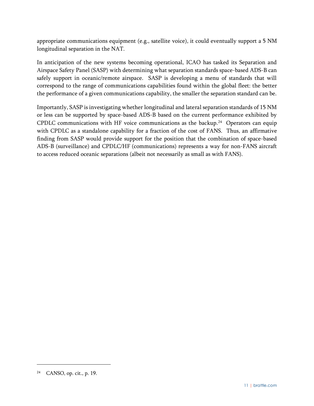appropriate communications equipment (e.g., satellite voice), it could eventually support a 5 NM longitudinal separation in the NAT.

In anticipation of the new systems becoming operational, ICAO has tasked its Separation and Airspace Safety Panel (SASP) with determining what separation standards space-based ADS-B can safely support in oceanic/remote airspace. SASP is developing a menu of standards that will correspond to the range of communications capabilities found within the global fleet: the better the performance of a given communications capability, the smaller the separation standard can be.

Importantly, SASP is investigating whether longitudinal and lateral separation standards of 15 NM or less can be supported by space-based ADS-B based on the current performance exhibited by CPDLC communications with HF voice communications as the backup.<sup>24</sup> Operators can equip with CPDLC as a standalone capability for a fraction of the cost of FANS. Thus, an affirmative finding from SASP would provide support for the position that the combination of space-based ADS-B (surveillance) and CPDLC/HF (communications) represents a way for non-FANS aircraft to access reduced oceanic separations (albeit not necessarily as small as with FANS).

<sup>24</sup> CANSO, op. cit., p. 19.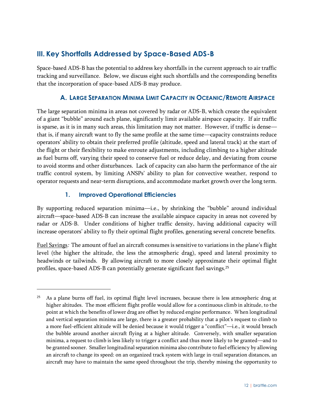# <span id="page-22-0"></span>**III. Key Shortfalls Addressed by Space-Based ADS-B**

Space-based ADS-B has the potential to address key shortfalls in the current approach to air traffic tracking and surveillance. Below, we discuss eight such shortfalls and the corresponding benefits that the incorporation of space-based ADS-B may produce.

# **A. LARGE SEPARATION MINIMA LIMIT CAPACITY IN OCEANIC/REMOTE AIRSPACE**

<span id="page-22-1"></span>The large separation minima in areas not covered by radar or ADS-B, which create the equivalent of a giant "bubble" around each plane, significantly limit available airspace capacity. If air traffic is sparse, as it is in many such areas, this limitation may not matter. However, if traffic is dense that is, if many aircraft want to fly the same profile at the same time—capacity constraints reduce operators' ability to obtain their preferred profile (altitude, speed and lateral track) at the start of the flight or their flexibility to make enroute adjustments, including climbing to a higher altitude as fuel burns off, varying their speed to conserve fuel or reduce delay, and deviating from course to avoid storms and other disturbances. Lack of capacity can also harm the performance of the air traffic control system, by limiting ANSPs' ability to plan for convective weather, respond to operator requests and near-term disruptions, and accommodate market growth over the long term.

#### **1. Improved Operational Efficiencies**

 $\overline{a}$ 

<span id="page-22-2"></span>By supporting reduced separation minima—i.e., by shrinking the "bubble" around individual aircraft—space-based ADS-B can increase the available airspace capacity in areas not covered by radar or ADS-B. Under conditions of higher traffic density, having additional capacity will increase operators' ability to fly their optimal flight profiles, generating several concrete benefits.

Fuel Savings: The amount of fuel an aircraft consumes is sensitive to variations in the plane's flight level (the higher the altitude, the less the atmospheric drag), speed and lateral proximity to headwinds or tailwinds. By allowing aircraft to more closely approximate their optimal flight profiles, space-based ADS-B can potentially generate significant fuel savings. $^{25}$ 

<sup>25</sup> As a plane burns off fuel, its optimal flight level increases, because there is less atmospheric drag at higher altitudes. The most efficient flight profile would allow for a continuous climb in altitude, to the point at which the benefits of lower drag are offset by reduced engine performance. When longitudinal and vertical separation minima are large, there is a greater probability that a pilot's request to climb to a more fuel-efficient altitude will be denied because it would trigger a "conflict"—i.e., it would breach the bubble around another aircraft flying at a higher altitude. Conversely, with smaller separation minima, a request to climb is less likely to trigger a conflict and thus more likely to be granted—and to be granted sooner. Smaller longitudinal separation minima also contribute to fuel efficiency by allowing an aircraft to change its speed: on an organized track system with large in-trail separation distances, an aircraft may have to maintain the same speed throughout the trip, thereby missing the opportunity to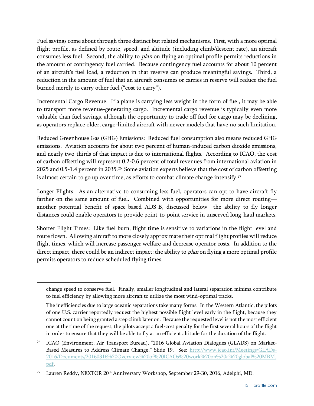Fuel savings come about through three distinct but related mechanisms. First, with a more optimal flight profile, as defined by route, speed, and altitude (including climb/descent rate), an aircraft consumes less fuel. Second, the ability to *plan* on flying an optimal profile permits reductions in the amount of contingency fuel carried. Because contingency fuel accounts for about 10 percent of an aircraft's fuel load, a reduction in that reserve can produce meaningful savings. Third, a reduction in the amount of fuel that an aircraft consumes or carries in reserve will reduce the fuel burned merely to carry other fuel ("cost to carry").

Incremental Cargo Revenue: If a plane is carrying less weight in the form of fuel, it may be able to transport more revenue-generating cargo. Incremental cargo revenue is typically even more valuable than fuel savings, although the opportunity to trade off fuel for cargo may be declining, as operators replace older, cargo-limited aircraft with newer models that have no such limitation.

Reduced Greenhouse Gas (GHG) Emissions: Reduced fuel consumption also means reduced GHG emissions. Aviation accounts for about two percent of human-induced carbon dioxide emissions, and nearly two-thirds of that impact is due to international flights. According to ICAO, the cost of carbon offsetting will represent 0.2-0.6 percent of total revenues from international aviation in 2025 and 0.5-1.4 percent in 2035. $^{26}$  Some aviation experts believe that the cost of carbon offsetting is almost certain to go up over time, as efforts to combat climate change intensify. $^{27}$ 

Longer Flights: As an alternative to consuming less fuel, operators can opt to have aircraft fly farther on the same amount of fuel. Combined with opportunities for more direct routing another potential benefit of space-based ADS-B, discussed below—the ability to fly longer distances could enable operators to provide point-to-point service in unserved long-haul markets.

Shorter Flight Times: Like fuel burn, flight time is sensitive to variations in the flight level and route flown. Allowing aircraft to more closely approximate their optimal flight profiles will reduce flight times, which will increase passenger welfare and decrease operator costs. In addition to the direct impact, there could be an indirect impact: the ability to *plan* on flying a more optimal profile permits operators to reduce scheduled flying times.

change speed to conserve fuel. Finally, smaller longitudinal and lateral separation minima contribute to fuel efficiency by allowing more aircraft to utilize the most wind-optimal tracks.

The inefficiencies due to large oceanic separations take many forms. In the Western Atlantic, the pilots of one U.S. carrier reportedly request the highest possible flight level early in the flight, because they cannot count on being granted a step climb later on. Because the requested level is not the most efficient one at the time of the request, the pilots accept a fuel-cost penalty for the first several hours of the flight in order to ensure that they will be able to fly at an efficient altitude for the duration of the flight.

<sup>&</sup>lt;sup>26</sup> ICAO (Environment, Air Transport Bureau), "2016 Global Aviation Dialogues (GLADS) on Market-Based Measures to Address Climate Change," Slide 19. See: [http://www.icao.int/Meetings/GLADs-](http://www.icao.int/Meetings/GLADs-2016/Documents/20160316%20Overview%20of%20ICAOs%20work%20on%20a%20global%20MBM.pdf)[2016/Documents/20160316%20Overview%20of%20ICAOs%20work%20on%20a%20global%20MBM.](http://www.icao.int/Meetings/GLADs-2016/Documents/20160316%20Overview%20of%20ICAOs%20work%20on%20a%20global%20MBM.pdf) [pdf.](http://www.icao.int/Meetings/GLADs-2016/Documents/20160316%20Overview%20of%20ICAOs%20work%20on%20a%20global%20MBM.pdf)

<sup>&</sup>lt;sup>27</sup> Lauren Reddy, NEXTOR 20<sup>th</sup> Anniversary Workshop, September 29-30, 2016, Adelphi, MD.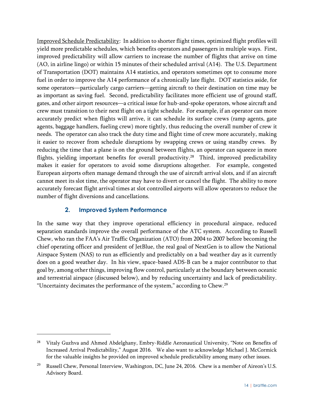Improved Schedule Predictability: In addition to shorter flight times, optimized flight profiles will yield more predictable schedules, which benefits operators and passengers in multiple ways. First, improved predictability will allow carriers to increase the number of flights that arrive on time (AO, in airline lingo) or within 15 minutes of their scheduled arrival (A14). The U.S. Department of Transportation (DOT) maintains A14 statistics, and operators sometimes opt to consume more fuel in order to improve the A14 performance of a chronically late flight. DOT statistics aside, for some operators—particularly cargo carriers—getting aircraft to their destination on time may be as important as saving fuel. Second, predictability facilitates more efficient use of ground staff, gates, and other airport resources—a critical issue for hub-and-spoke operators, whose aircraft and crew must transition to their next flight on a tight schedule. For example, if an operator can more accurately predict when flights will arrive, it can schedule its surface crews (ramp agents, gate agents, baggage handlers, fueling crew) more tightly, thus reducing the overall number of crew it needs. The operator can also track the duty time and flight time of crew more accurately, making it easier to recover from schedule disruptions by swapping crews or using standby crews. By reducing the time that a plane is on the ground between flights, an operator can squeeze in more flights, yielding important benefits for overall productivity. <sup>28</sup> Third, improved predictability makes it easier for operators to avoid some disruptions altogether. For example, congested European airports often manage demand through the use of aircraft arrival slots, and if an aircraft cannot meet its slot time, the operator may have to divert or cancel the flight. The ability to more accurately forecast flight arrival times at slot controlled airports will allow operators to reduce the number of flight diversions and cancellations.

#### **2. Improved System Performance**

 $\overline{a}$ 

<span id="page-24-0"></span>In the same way that they improve operational efficiency in procedural airspace, reduced separation standards improve the overall performance of the ATC system. According to Russell Chew, who ran the FAA's Air Traffic Organization (ATO) from 2004 to 2007 before becoming the chief operating officer and president of JetBlue, the real goal of NextGen is to allow the National Airspace System (NAS) to run as efficiently and predictably on a bad weather day as it currently does on a good weather day. In his view, space-based ADS-B can be a major contributor to that goal by, among other things, improving flow control, particularly at the boundary between oceanic and terrestrial airspace (discussed below), and by reducing uncertainty and lack of predictability. "Uncertainty decimates the performance of the system," according to Chew.<sup>29</sup>

<sup>&</sup>lt;sup>28</sup> Vitaly Guzhva and Ahmed Abdelghany, Embry-Riddle Aeronautical University, "Note on Benefits of Increased Arrival Predictability," August 2016. We also want to acknowledge Michael J. McCormick for the valuable insights he provided on improved schedule predictability among many other issues.

<sup>&</sup>lt;sup>29</sup> Russell Chew, Personal Interview, Washington, DC, June 24, 2016. Chew is a member of Aireon's U.S. Advisory Board.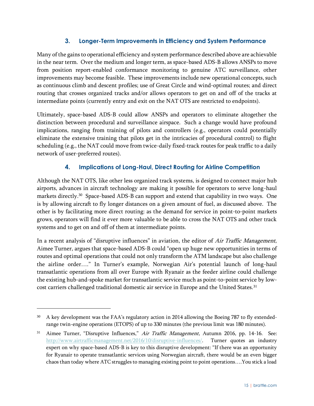#### **3. Longer-Term Improvements in Efficiency and System Performance**

<span id="page-25-0"></span>Many of the gains to operational efficiency and system performance described above are achievable in the near term. Over the medium and longer term, as space-based ADS-B allows ANSPs to move from position report-enabled conformance monitoring to genuine ATC surveillance, other improvements may become feasible. These improvements include new operational concepts, such as continuous climb and descent profiles; use of Great Circle and wind-optimal routes; and direct routing that crosses organized tracks and/or allows operators to get on and off of the tracks at intermediate points (currently entry and exit on the NAT OTS are restricted to endpoints).

Ultimately, space-based ADS-B could allow ANSPs and operators to eliminate altogether the distinction between procedural and surveillance airspace. Such a change would have profound implications, ranging from training of pilots and controllers (e.g., operators could potentially eliminate the extensive training that pilots get in the intricacies of procedural control) to flight scheduling (e.g., the NAT could move from twice-daily fixed-track routes for peak traffic to a daily network of user-preferred routes).

#### **4. Implications of Long-Haul, Direct Routing for Airline Competition**

<span id="page-25-1"></span>Although the NAT OTS, like other less organized track systems, is designed to connect major hub airports, advances in aircraft technology are making it possible for operators to serve long-haul markets directly.<sup>30</sup> Space-based ADS-B can support and extend that capability in two ways. One is by allowing aircraft to fly longer distances on a given amount of fuel, as discussed above. The other is by facilitating more direct routing: as the demand for service in point-to-point markets grows, operators will find it ever more valuable to be able to cross the NAT OTS and other track systems and to get on and off of them at intermediate points.

In a recent analysis of "disruptive influences" in aviation, the editor of Air Traffic Management, Aimee Turner, argues that space-based ADS-B could "open up huge new opportunities in terms of routes and optimal operations that could not only transform the ATM landscape but also challenge the airline order…." In Turner's example, Norwegian Air's potential launch of long-haul transatlantic operations from all over Europe with Ryanair as the feeder airline could challenge the existing hub-and-spoke market for transatlantic service much as point-to-point service by lowcost carriers challenged traditional domestic air service in Europe and the United States.<sup>31</sup>

<sup>30</sup> A key development was the FAA's regulatory action in 2014 allowing the Boeing 787 to fly extendedrange twin-engine operations (ETOPS) of up to 330 minutes (the previous limit was 180 minutes).

Aimee Turner, "Disruptive Influences," Air Traffic Management, Autumn 2016, pp. 14-16. See: [http://www.airtrafficmanagement.net/2016/10/disruptive-influences/.](http://www.airtrafficmanagement.net/2016/10/disruptive-influences/) Turner quotes an industry expert on why space-based ADS-B is key to this disruptive development: "If there was an opportunity for Ryanair to operate transatlantic services using Norwegian aircraft, there would be an even bigger chaos than today where ATC struggles to managing existing point to point operations….You stick a load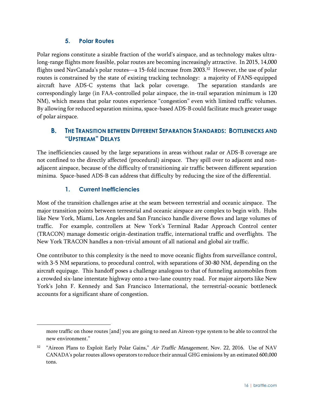#### **5. Polar Routes**

<span id="page-26-0"></span>Polar regions constitute a sizable fraction of the world's airspace, and as technology makes ultralong-range flights more feasible, polar routes are becoming increasingly attractive. In 2015, 14,000 flights used NavCanada's polar routes—a 15-fold increase from 2003. $^{32}$  However, the use of polar routes is constrained by the state of existing tracking technology: a majority of FANS-equipped aircraft have ADS-C systems that lack polar coverage. The separation standards are correspondingly large (in FAA-controlled polar airspace, the in-trail separation minimum is 120 NM), which means that polar routes experience "congestion" even with limited traffic volumes. By allowing for reduced separation minima, space-based ADS-B could facilitate much greater usage of polar airspace.

# <span id="page-26-1"></span>**B. THE TRANSITION BETWEEN DIFFERENT SEPARATION STANDARDS: BOTTLENECKS AND "UPSTREAM" DELAYS**

The inefficiencies caused by the large separations in areas without radar or ADS-B coverage are not confined to the directly affected (procedural) airspace. They spill over to adjacent and nonadjacent airspace, because of the difficulty of transitioning air traffic between different separation minima. Space-based ADS-B can address that difficulty by reducing the size of the differential.

# **1. Current Inefficiencies**

<sup>-</sup>

<span id="page-26-2"></span>Most of the transition challenges arise at the seam between terrestrial and oceanic airspace. The major transition points between terrestrial and oceanic airspace are complex to begin with. Hubs like New York, Miami, Los Angeles and San Francisco handle diverse flows and large volumes of traffic. For example, controllers at New York's Terminal Radar Approach Control center (TRACON) manage domestic origin-destination traffic, international traffic and overflights. The New York TRACON handles a non-trivial amount of all national and global air traffic.

One contributor to this complexity is the need to move oceanic flights from surveillance control, with 3-5 NM separations, to procedural control, with separations of 30-80 NM, depending on the aircraft equipage. This handoff poses a challenge analogous to that of funneling automobiles from a crowded six-lane interstate highway onto a two-lane country road. For major airports like New York's John F. Kennedy and San Francisco International, the terrestrial-oceanic bottleneck accounts for a significant share of congestion.

more traffic on those routes [and] you are going to need an Aireon-type system to be able to control the new environment."

<sup>&</sup>lt;sup>32</sup> "Aireon Plans to Exploit Early Polar Gains," Air Traffic Management, Nov. 22, 2016. Use of NAV CANADA's polar routes allows operators to reduce their annual GHG emissions by an estimated 600,000 tons.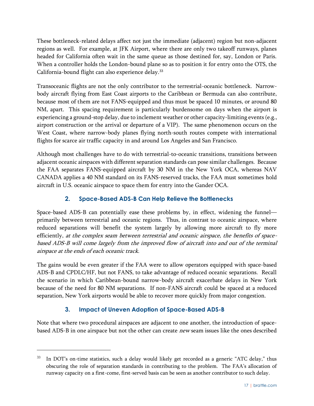These bottleneck-related delays affect not just the immediate (adjacent) region but non-adjacent regions as well. For example, at JFK Airport, where there are only two takeoff runways, planes headed for California often wait in the same queue as those destined for, say, London or Paris. When a controller holds the London-bound plane so as to position it for entry onto the OTS, the California-bound flight can also experience delay.<sup>33</sup>

Transoceanic flights are not the only contributor to the terrestrial-oceanic bottleneck. Narrowbody aircraft flying from East Coast airports to the Caribbean or Bermuda can also contribute, because most of them are not FANS-equipped and thus must be spaced 10 minutes, or around 80 NM, apart. This spacing requirement is particularly burdensome on days when the airport is experiencing a ground-stop delay, due to inclement weather or other capacity-limiting events (e.g., airport construction or the arrival or departure of a VIP). The same phenomenon occurs on the West Coast, where narrow-body planes flying north-south routes compete with international flights for scarce air traffic capacity in and around Los Angeles and San Francisco.

Although most challenges have to do with terrestrial-to-oceanic transitions, transitions between adjacent oceanic airspaces with different separation standards can pose similar challenges. Because the FAA separates FANS-equipped aircraft by 30 NM in the New York OCA, whereas NAV CANADA applies a 40 NM standard on its FANS-reserved tracks, the FAA must sometimes hold aircraft in U.S. oceanic airspace to space them for entry into the Gander OCA.

# **2. Space-Based ADS-B Can Help Relieve the Bottlenecks**

<span id="page-27-0"></span>Space-based ADS-B can potentially ease these problems by, in effect, widening the funnel primarily between terrestrial and oceanic regions. Thus, in contrast to oceanic airspace, where reduced separations will benefit the system largely by allowing more aircraft to fly more efficiently, at the complex seam between terrestrial and oceanic airspace, the benefits of spacebased ADS-B will come largely from the improved flow of aircraft into and out of the terminal airspace at the ends of each oceanic track.

The gains would be even greater if the FAA were to allow operators equipped with space-based ADS-B and CPDLC/HF, but not FANS, to take advantage of reduced oceanic separations. Recall the scenario in which Caribbean-bound narrow-body aircraft exacerbate delays in New York because of the need for 80 NM separations. If non-FANS aircraft could be spaced at a reduced separation, New York airports would be able to recover more quickly from major congestion.

# **3. Impact of Uneven Adoption of Space-Based ADS-B**

 $\overline{a}$ 

<span id="page-27-1"></span>Note that where two procedural airspaces are adjacent to one another, the introduction of spacebased ADS-B in one airspace but not the other can create new seam issues like the ones described

<sup>&</sup>lt;sup>33</sup> In DOT's on-time statistics, such a delay would likely get recorded as a generic "ATC delay," thus obscuring the role of separation standards in contributing to the problem. The FAA's allocation of runway capacity on a first-come, first-served basis can be seen as another contributor to such delay.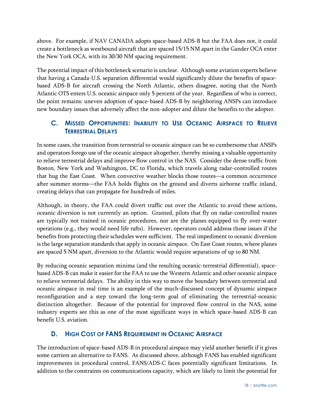above. For example, if NAV CANADA adopts space-based ADS-B but the FAA does not, it could create a bottleneck as westbound aircraft that are spaced 15/15 NM apart in the Gander OCA enter the New York OCA, with its 30/30 NM spacing requirement.

The potential impact of this bottleneck scenario is unclear. Although some aviation experts believe that having a Canada-U.S. separation differential would significantly dilute the benefits of spacebased ADS-B for aircraft crossing the North Atlantic, others disagree, noting that the North Atlantic OTS enters U.S. oceanic airspace only 5 percent of the year. Regardless of who is correct, the point remains: uneven adoption of space-based ADS-B by neighboring ANSPs can introduce new boundary issues that adversely affect the non-adopter and dilute the benefits to the adopter.

# <span id="page-28-0"></span>**C. MISSED OPPORTUNITIES: INABILITY TO USE OCEANIC AIRSPACE TO RELIEVE TERRESTRIAL DELAYS**

In some cases, the transition from terrestrial to oceanic airspace can be so cumbersome that ANSPs and operators forego use of the oceanic airspace altogether, thereby missing a valuable opportunity to relieve terrestrial delays and improve flow control in the NAS. Consider the dense traffic from Boston, New York and Washington, DC to Florida, which travels along radar-controlled routes that hug the East Coast. When convective weather blocks those routes—a common occurrence after summer storms—the FAA holds flights on the ground and diverts airborne traffic inland, creating delays that can propagate for hundreds of miles.

Although, in theory, the FAA could divert traffic out over the Atlantic to avoid these actions, oceanic diversion is not currently an option. Granted, pilots that fly on radar-controlled routes are typically not trained in oceanic procedures, nor are the planes equipped to fly over-water operations (e.g., they would need life rafts). However, operators could address those issues if the benefits from protecting their schedules were sufficient. The real impediment to oceanic diversion is the large separation standards that apply in oceanic airspace. On East Coast routes, where planes are spaced 5 NM apart, diversion to the Atlantic would require separations of up to 80 NM.

By reducing oceanic separation minima (and the resulting oceanic-terrestrial differential), spacebased ADS-B can make it easier for the FAA to use the Western Atlantic and other oceanic airspace to relieve terrestrial delays. The ability in this way to move the boundary between terrestrial and oceanic airspace in real time is an example of the much-discussed concept of dynamic airspace reconfiguration and a step toward the long-term goal of eliminating the terrestrial-oceanic distinction altogether. Because of the potential for improved flow control in the NAS, some industry experts see this as one of the most significant ways in which space-based ADS-B can benefit U.S. aviation.

# <span id="page-28-1"></span>**D. HIGH COST OF FANS REQUIREMENT IN OCEANIC AIRSPACE**

The introduction of space-based ADS-B in procedural airspace may yield another benefit if it gives some carriers an alternative to FANS. As discussed above, although FANS has enabled significant improvements in procedural control, FANS/ADS-C faces potentially significant limitations. In addition to the constraints on communications capacity, which are likely to limit the potential for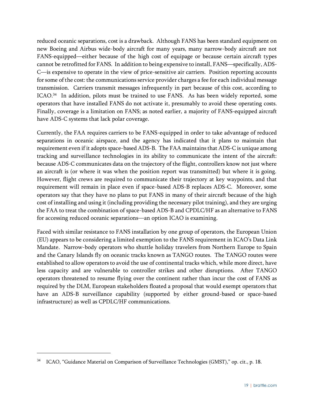reduced oceanic separations, cost is a drawback. Although FANS has been standard equipment on new Boeing and Airbus wide-body aircraft for many years, many narrow-body aircraft are not FANS-equipped—either because of the high cost of equipage or because certain aircraft types cannot be retrofitted for FANS. In addition to being expensive to install, FANS—specifically, ADS-C—is expensive to operate in the view of price-sensitive air carriers. Position reporting accounts for some of the cost: the communications service provider charges a fee for each individual message transmission. Carriers transmit messages infrequently in part because of this cost, according to ICAO.<sup>34</sup> In addition, pilots must be trained to use FANS. As has been widely reported, some operators that have installed FANS do not activate it, presumably to avoid these operating costs. Finally, coverage is a limitation on FANS; as noted earlier, a majority of FANS-equipped aircraft have ADS-C systems that lack polar coverage.

Currently, the FAA requires carriers to be FANS-equipped in order to take advantage of reduced separations in oceanic airspace, and the agency has indicated that it plans to maintain that requirement even if it adopts space-based ADS-B. The FAA maintains that ADS-C is unique among tracking and surveillance technologies in its ability to communicate the intent of the aircraft: because ADS-C communicates data on the trajectory of the flight, controllers know not just where an aircraft is (or where it was when the position report was transmitted) but where it is going. However, flight crews are required to communicate their trajectory at key waypoints, and that requirement will remain in place even if space-based ADS-B replaces ADS-C. Moreover, some operators say that they have no plans to put FANS in many of their aircraft because of the high cost of installing and using it (including providing the necessary pilot training), and they are urging the FAA to treat the combination of space-based ADS-B and CPDLC/HF as an alternative to FANS for accessing reduced oceanic separations—an option ICAO is examining.

Faced with similar resistance to FANS installation by one group of operators, the European Union (EU) appears to be considering a limited exemption to the FANS requirement in ICAO's Data Link Mandate. Narrow-body operators who shuttle holiday travelers from Northern Europe to Spain and the Canary Islands fly on oceanic tracks known as TANGO routes. The TANGO routes were established to allow operators to avoid the use of continental tracks which, while more direct, have less capacity and are vulnerable to controller strikes and other disruptions. After TANGO operators threatened to resume flying over the continent rather than incur the cost of FANS as required by the DLM, European stakeholders floated a proposal that would exempt operators that have an ADS-B surveillance capability (supported by either ground-based or space-based infrastructure) as well as CPDLC/HF communications.

<sup>34</sup> ICAO, "Guidance Material on Comparison of Surveillance Technologies (GMST)," op. cit., p. 18.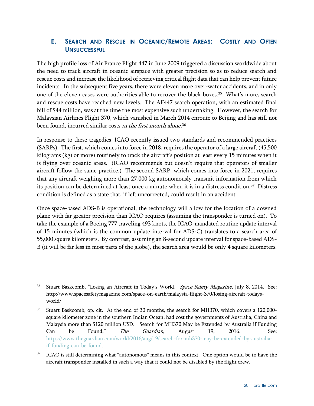# <span id="page-30-0"></span>**E. SEARCH AND RESCUE IN OCEANIC/REMOTE AREAS: COSTLY AND OFTEN UNSUCCESSFUL**

The high profile loss of Air France Flight 447 in June 2009 triggered a discussion worldwide about the need to track aircraft in oceanic airspace with greater precision so as to reduce search and rescue costs and increase the likelihood of retrieving critical flight data that can help prevent future incidents. In the subsequent five years, there were eleven more over-water accidents, and in only one of the eleven cases were authorities able to recover the black boxes.<sup>35</sup> What's more, search and rescue costs have reached new levels. The AF447 search operation, with an estimated final bill of \$44 million, was at the time the most expensive such undertaking. However, the search for Malaysian Airlines Flight 370, which vanished in March 2014 enroute to Beijing and has still not been found, incurred similar costs *in the first month alone*.<sup>36</sup>

In response to these tragedies, ICAO recently issued two standards and recommended practices (SARPs). The first, which comes into force in 2018, requires the operator of a large aircraft (45,500 kilograms (kg) or more) routinely to track the aircraft's position at least every 15 minutes when it is flying over oceanic areas. (ICAO recommends but doesn't require that operators of smaller aircraft follow the same practice.) The second SARP, which comes into force in 2021, requires that any aircraft weighing more than 27,000 kg autonomously transmit information from which its position can be determined at least once a minute when it is in a distress condition.<sup>37</sup> Distress condition is defined as a state that, if left uncorrected, could result in an accident.

Once space-based ADS-B is operational, the technology will allow for the location of a downed plane with far greater precision than ICAO requires (assuming the transponder is turned on). To take the example of a Boeing 777 traveling 493 knots, the ICAO-mandated routine update interval of 15 minutes (which is the common update interval for ADS-C) translates to a search area of 55,000 square kilometers. By contrast, assuming an 8-second update interval for space-based ADS-B (it will be far less in most parts of the globe), the search area would be only 4 square kilometers.

 $\overline{a}$ 

<sup>&</sup>lt;sup>35</sup> Stuart Baskcomb, "Losing an Aircraft in Today's World," Space Safety Magazine, July 8, 2014. See: http://www.spacesafetymagazine.com/space-on-earth/malaysia-flight-370/losing-aircraft-todaysworld/

<sup>36</sup> Stuart Baskcomb, op. cit. At the end of 30 months, the search for MH370, which covers a 120,000 square kilometer zone in the southern Indian Ocean, had cost the governments of Australia, China and Malaysia more than \$120 million USD. "Search for MH370 May be Extended by Australia if Funding Can be Found," *The Guardian*, August 19, 2016. See: [https://www.theguardian.com/world/2016/aug/19/search-for-mh370-may-be-extended-by-australia](https://www.theguardian.com/world/2016/aug/19/search-for-mh370-may-be-extended-by-australia-if-funding-can-be-found)[if-funding-can-be-found.](https://www.theguardian.com/world/2016/aug/19/search-for-mh370-may-be-extended-by-australia-if-funding-can-be-found)

<sup>&</sup>lt;sup>37</sup> ICAO is still determining what "autonomous" means in this context. One option would be to have the aircraft transponder installed in such a way that it could not be disabled by the flight crew.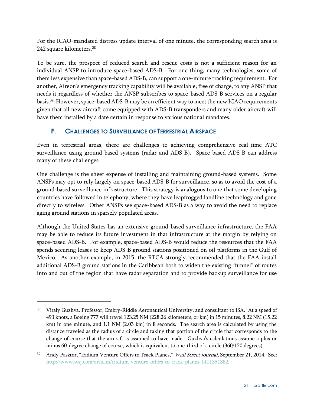For the ICAO-mandated distress update interval of one minute, the corresponding search area is 242 square kilometers. 38

To be sure, the prospect of reduced search and rescue costs is not a sufficient reason for an individual ANSP to introduce space-based ADS-B. For one thing, many technologies, some of them less expensive than space-based ADS-B, can support a one-minute tracking requirement. For another, Aireon's emergency tracking capability will be available, free of charge, to any ANSP that needs it regardless of whether the ANSP subscribes to space-based ADS-B services on a regular basis.<sup>39</sup> However, space-based ADS-B may be an efficient way to meet the new ICAO requirements given that all new aircraft come equipped with ADS-B transponders and many older aircraft will have them installed by a date certain in response to various national mandates.

# <span id="page-31-0"></span>**F. CHALLENGES TO SURVEILLANCE OF TERRESTRIAL AIRSPACE**

Even in terrestrial areas, there are challenges to achieving comprehensive real-time ATC surveillance using ground-based systems (radar and ADS-B). Space-based ADS-B can address many of these challenges.

One challenge is the sheer expense of installing and maintaining ground-based systems. Some ANSPs may opt to rely largely on space-based ADS-B for surveillance, so as to avoid the cost of a ground-based surveillance infrastructure. This strategy is analogous to one that some developing countries have followed in telephony, where they have leapfrogged landline technology and gone directly to wireless. Other ANSPs see space-based ADS-B as a way to avoid the need to replace aging ground stations in sparsely populated areas.

Although the United States has an extensive ground-based surveillance infrastructure, the FAA may be able to reduce its future investment in that infrastructure at the margin by relying on space-based ADS-B. For example, space-based ADS-B would reduce the resources that the FAA spends securing leases to keep ADS-B ground stations positioned on oil platforms in the Gulf of Mexico. As another example, in 2015, the RTCA strongly recommended that the FAA install additional ADS-B ground stations in the Caribbean both to widen the existing "funnel" of routes into and out of the region that have radar separation and to provide backup surveillance for use

<sup>38</sup> Vitaly Guzhva, Professor, Embry-Riddle Aeronautical University, and consultant to ISA. At a speed of 493 knots, a Boeing 777 will travel 123.25 NM (228.26 kilometers, or km) in 15 minutes, 8.22 NM (15.22 km) in one minute, and 1.1 NM (2.03 km) in 8 seconds. The search area is calculated by using the distance traveled as the radius of a circle and taking that portion of the circle that corresponds to the change of course that the aircraft is assumed to have made. Guzhva's calculations assume a plus or minus 60-degree change of course, which is equivalent to one-third of a circle (360/120 degrees).

Andy Pasztor, "Iridium Venture Offers to Track Planes," Wall Street Journal, September 21, 2014. See: [http://www.wsj.com/articles/iridium-venture-offers-to-track-planes-1411351382.](http://www.wsj.com/articles/iridium-venture-offers-to-track-planes-1411351382)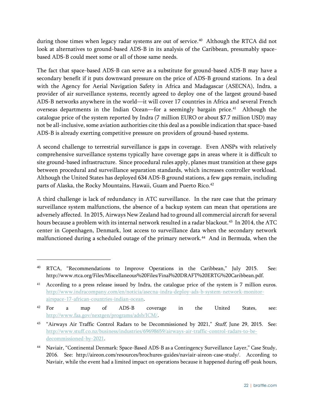during those times when legacy radar systems are out of service.<sup>40</sup> Although the RTCA did not look at alternatives to ground-based ADS-B in its analysis of the Caribbean, presumably spacebased ADS-B could meet some or all of those same needs.

The fact that space-based ADS-B can serve as a substitute for ground-based ADS-B may have a secondary benefit if it puts downward pressure on the price of ADS-B ground stations. In a deal with the Agency for Aerial Navigation Safety in Africa and Madagascar (ASECNA), Indra, a provider of air surveillance systems, recently agreed to deploy one of the largest ground-based ADS-B networks anywhere in the world—it will cover 17 countries in Africa and several French overseas departments in the Indian Ocean—for a seemingly bargain price. 41 Although the catalogue price of the system reported by Indra (7 million EURO or about \$7.7 million USD) may not be all-inclusive, some aviation authorities cite this deal as a possible indication that space-based ADS-B is already exerting competitive pressure on providers of ground-based systems.

A second challenge to terrestrial surveillance is gaps in coverage. Even ANSPs with relatively comprehensive surveillance systems typically have coverage gaps in areas where it is difficult to site ground-based infrastructure. Since procedural rules apply, planes must transition at these gaps between procedural and surveillance separation standards, which increases controller workload. Although the United States has deployed 634 ADS-B ground stations, a few gaps remain, including parts of Alaska, the Rocky Mountains, Hawaii, Guam and Puerto Rico. $^\mathrm{42}$ 

A third challenge is lack of redundancy in ATC surveillance. In the rare case that the primary surveillance system malfunctions, the absence of a backup system can mean that operations are adversely affected. In 2015, Airways New Zealand had to ground all commercial aircraft for several hours because a problem with its internal network resulted in a radar blackout. $^{43}$  In 2014, the ATC center in Copenhagen, Denmark, lost access to surveillance data when the secondary network malfunctioned during a scheduled outage of the primary network.<sup>44</sup> And in Bermuda, when the

 $\overline{a}$ 

<sup>&</sup>lt;sup>40</sup> RTCA, "Recommendations to Improve Operations in the Caribbean," July 2015. See: http://www.rtca.org/Files/Miscellaneous%20Files/Final%20DRAFT%20ERTG%20Caribbean.pdf.

<sup>&</sup>lt;sup>41</sup> According to a press release issued by Indra, the catalogue price of the system is 7 million euros. [http://www.indracompany.com/en/noticia/asecna-indra-deploy-ads-b-system-network-monitor](http://www.indracompany.com/en/noticia/asecna-indra-deploy-ads-b-system-network-monitor-airspace-17-african-countries-indian-ocean)[airspace-17-african-countries-indian-ocean.](http://www.indracompany.com/en/noticia/asecna-indra-deploy-ads-b-system-network-monitor-airspace-17-african-countries-indian-ocean)

<sup>42</sup> For a map of ADS-B coverage in the United States, see: [http://www.faa.gov/nextgen/programs/adsb/ICM/.](http://www.faa.gov/nextgen/programs/adsb/ICM/)

<sup>&</sup>lt;sup>43</sup> "Airways Air Traffic Control Radars to be Decommissioned by 2021," Stuff, June 29, 2015. See: [http://www.stuff.co.nz/business/industries/69698659/airways-air-traffic-control-radars-to-be](http://www.stuff.co.nz/business/industries/69698659/airways-air-traffic-control-radars-to-be-decommissioned-by-2021)[decommissioned-by-2021.](http://www.stuff.co.nz/business/industries/69698659/airways-air-traffic-control-radars-to-be-decommissioned-by-2021)

<sup>44</sup> Naviair, "Continental Denmark: Space-Based ADS-B as a Contingency Surveillance Layer," Case Study, 2016. See: http://aireon.com/resources/brochures-guides/naviair-aireon-case-study/. According to Naviair, while the event had a limited impact on operations because it happened during off-peak hours,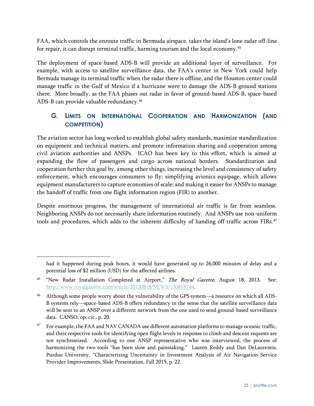FAA, which controls the enroute traffic in Bermuda airspace, takes the island's lone radar off-line for repair, it can disrupt terminal traffic, harming tourism and the local economy.<sup>45</sup>

The deployment of space-based ADS-B will provide an additional layer of surveillance. For example, with access to satellite surveillance data, the FAA's center in New York could help Bermuda manage its terminal traffic when the radar there is offline, and the Houston center could manage traffic in the Gulf of Mexico if a hurricane were to damage the ADS-B ground stations there. More broadly, as the FAA phases out radar in favor of ground-based ADS-B, space-based ADS-B can provide valuable redundancy. 46

# <span id="page-33-0"></span>**G. LIMITS ON INTERNATIONAL COOPERATION AND HARMONIZATION (AND COMPETITION)**

The aviation sector has long worked to establish global safety standards, maximize standardization on equipment and technical matters, and promote information sharing and cooperation among civil aviation authorities and ANSPs. ICAO has been key to this effort, which is aimed at expanding the flow of passengers and cargo across national borders. Standardization and cooperation further this goal by, among other things, increasing the level and consistency of safety enforcement, which encourages consumers to fly; simplifying avionics equipage, which allows equipment manufacturers to capture economies of scale; and making it easier for ANSPs to manage the handoff of traffic from one flight information region (FIR) to another.

Despite enormous progress, the management of international air traffic is far from seamless. Neighboring ANSPs do not necessarily share information routinely. And ANSPs use non-uniform tools and procedures, which adds to the inherent difficulty of handing off traffic across FIRs.<sup>47</sup>

had it happened during peak hours, it would have generated up to 26,000 minutes of delay and a potential loss of \$2 million (USD) for the affected airlines.

<sup>&</sup>lt;sup>45</sup> "New Radar Installation Completed at Airport," The Royal Gazette, August 18, 2013. See: [http://www.royalgazette.com/article/20130818/NEWS/130819744.](http://www.royalgazette.com/article/20130818/NEWS/130819744)

<sup>46</sup> Although some people worry about the vulnerability of the GPS system—a resource on which all ADS-B systems rely—space-based ADS-B offers redundancy in the sense that the satellite surveillance data will be sent to an ANSP over a different network from the one used to send ground-based surveillance data. CANSO, op. cit., p. 20.

<sup>&</sup>lt;sup>47</sup> For example, the FAA and NAV CANADA use different automation platforms to manage oceanic traffic, and their respective tools for identifying open flight levels in response to climb and descent requests are not synchronized. According to one ANSP representative who was interviewed, the process of harmonizing the two tools "has been slow and painstaking." Lauren Reddy and Dan DeLaurentis, Purdue University, "Characterizing Uncertainty in Investment Analysis of Air Navigation Service Provider Improvements, Slide Presentation, Fall 2015, p. 22.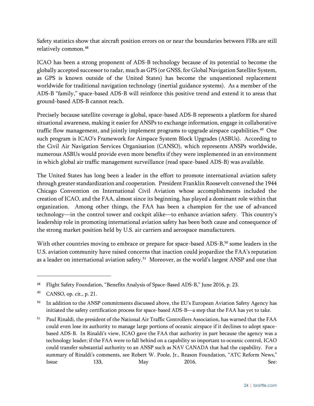Safety statistics show that aircraft position errors on or near the boundaries between FIRs are still relatively common.<sup>48</sup>

ICAO has been a strong proponent of ADS-B technology because of its potential to become the globally accepted successor to radar, much as GPS (or GNSS, for Global Navigation Satellite System, as GPS is known outside of the United States) has become the unquestioned replacement worldwide for traditional navigation technology (inertial guidance systems). As a member of the ADS-B "family," space-based ADS-B will reinforce this positive trend and extend it to areas that ground-based ADS-B cannot reach.

Precisely because satellite coverage is global, space-based ADS-B represents a platform for shared situational awareness, making it easier for ANSPs to exchange information, engage in collaborative traffic flow management, and jointly implement programs to upgrade airspace capabilities.<sup>49</sup> One such program is ICAO's Framework for Airspace System Block Upgrades (ASBUs). According to the Civil Air Navigation Services Organisation (CANSO), which represents ANSPs worldwide, numerous ASBUs would provide even more benefits if they were implemented in an environment in which global air traffic management surveillance (read space-based ADS-B) was available.

The United States has long been a leader in the effort to promote international aviation safety through greater standardization and cooperation. President Franklin Roosevelt convened the 1944 Chicago Convention on International Civil Aviation whose accomplishments included the creation of ICAO, and the FAA, almost since its beginning, has played a dominant role within that organization. Among other things, the FAA has been a champion for the use of advanced technology—in the control tower and cockpit alike—to enhance aviation safety. This country's leadership role in promoting international aviation safety has been both cause and consequence of the strong market position held by U.S. air carriers and aerospace manufacturers.

With other countries moving to embrace or prepare for space-based ADS-B,<sup>50</sup> some leaders in the U.S. aviation community have raised concerns that inaction could jeopardize the FAA's reputation as a leader on international aviation safety.<sup>51</sup> Moreover, as the world's largest ANSP and one that

<sup>48</sup> Flight Safety Foundation, "Benefits Analysis of Space-Based ADS-B," June 2016, p. 23.

<sup>49</sup> CANSO, op. cit., p. 21.

<sup>&</sup>lt;sup>50</sup> In addition to the ANSP commitments discussed above, the EU's European Aviation Safety Agency has initiated the safety certification process for space-based ADS-B—a step that the FAA has yet to take.

<sup>51</sup> Paul Rinaldi, the president of the National Air Traffic Controllers Association, has warned that the FAA could even lose its authority to manage large portions of oceanic airspace if it declines to adopt spacebased ADS-B. In Rinaldi's view, ICAO gave the FAA that authority in part because the agency was a technology leader; if the FAA were to fall behind on a capability so important to oceanic control, ICAO could transfer substantial authority to an ANSP such as NAV CANADA that had the capability. For a summary of Rinaldi's comments, see Robert W. Poole, Jr., Reason Foundation, "ATC Reform News," Issue 133, May 2016. See: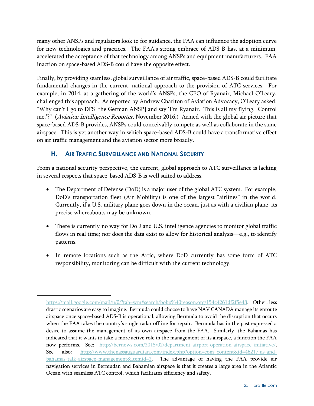many other ANSPs and regulators look to for guidance, the FAA can influence the adoption curve for new technologies and practices. The FAA's strong embrace of ADS-B has, at a minimum, accelerated the acceptance of that technology among ANSPs and equipment manufacturers. FAA inaction on space-based ADS-B could have the opposite effect.

Finally, by providing seamless, global surveillance of air traffic, space-based ADS-B could facilitate fundamental changes in the current, national approach to the provision of ATC services. For example, in 2014, at a gathering of the world's ANSPs, the CEO of Ryanair, Michael O'Leary, challenged this approach. As reported by Andrew Charlton of Aviation Advocacy, O'Leary asked: "Why can't I go to DFS [the German ANSP] and say 'I'm Ryanair. This is all my flying. Control me.'?" (Aviation Intelligence Reporter, November 2016.) Armed with the global air picture that space-based ADS-B provides, ANSPs could conceivably compete as well as collaborate in the same airspace. This is yet another way in which space-based ADS-B could have a transformative effect on air traffic management and the aviation sector more broadly.

# <span id="page-35-0"></span>**H. AIR TRAFFIC SURVEILLANCE AND NATIONAL SECURITY**

<sup>-</sup>

From a national security perspective, the current, global approach to ATC surveillance is lacking in several respects that space-based ADS-B is well suited to address.

- The Department of Defense (DoD) is a major user of the global ATC system. For example, DoD's transportation fleet (Air Mobility) is one of the largest "airlines" in the world. Currently, if a U.S. military plane goes down in the ocean, just as with a civilian plane, its precise whereabouts may be unknown.
- There is currently no way for DoD and U.S. intelligence agencies to monitor global traffic flows in real time; nor does the data exist to allow for historical analysis—e.g., to identify patterns.
- In remote locations such as the Artic, where DoD currently has some form of ATC responsibility, monitoring can be difficult with the current technology.

[https://mail.google.com/mail/u/0/?tab=wm#search/bobp%40reason.org/154c4261df2f5e48.](https://mail.google.com/mail/u/0/?tab=wm#search/bobp%40reason.org/154c4261df2f5e48) Other, less drastic scenarios are easy to imagine. Bermuda could choose to have NAV CANADA manage its enroute airspace once space-based ADS-B is operational, allowing Bermuda to avoid the disruption that occurs when the FAA takes the country's single radar offline for repair. Bermuda has in the past expressed a desire to assume the management of its own airspace from the FAA. Similarly, the Bahamas has indicated that it wants to take a more active role in the management of its airspace, a function the FAA now performs. See: [http://bernews.com/2015/02/department-airport-operation-airspace-initiative/.](http://bernews.com/2015/02/department-airport-operation-airspace-initiative/) See also: [http://www.thenassauguardian.com/index.php?option=com\\_content&id=46217:us-and](http://www.thenassauguardian.com/index.php?option=com_content&id=46217:us-and-bahamas-talk-airspace-management&Itemid=2)[bahamas-talk-airspace-management&Itemid=2.](http://www.thenassauguardian.com/index.php?option=com_content&id=46217:us-and-bahamas-talk-airspace-management&Itemid=2) The advantage of having the FAA provide air navigation services in Bermudan and Bahamian airspace is that it creates a large area in the Atlantic Ocean with seamless ATC control, which facilitates efficiency and safety.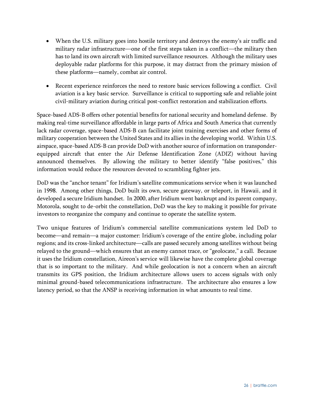- When the U.S. military goes into hostile territory and destroys the enemy's air traffic and military radar infrastructure—one of the first steps taken in a conflict—the military then has to land its own aircraft with limited surveillance resources. Although the military uses deployable radar platforms for this purpose, it may distract from the primary mission of these platforms—namely, combat air control.
- Recent experience reinforces the need to restore basic services following a conflict. Civil aviation is a key basic service. Surveillance is critical to supporting safe and reliable joint civil-military aviation during critical post-conflict restoration and stabilization efforts.

Space-based ADS-B offers other potential benefits for national security and homeland defense. By making real-time surveillance affordable in large parts of Africa and South America that currently lack radar coverage, space-based ADS-B can facilitate joint training exercises and other forms of military cooperation between the United States and its allies in the developing world. Within U.S. airspace, space-based ADS-B can provide DoD with another source of information on transponderequipped aircraft that enter the Air Defense Identification Zone (ADIZ) without having announced themselves. By allowing the military to better identify "false positives," this information would reduce the resources devoted to scrambling fighter jets.

DoD was the "anchor tenant" for Iridium's satellite communications service when it was launched in 1998. Among other things, DoD built its own, secure gateway, or teleport, in Hawaii, and it developed a secure Iridium handset. In 2000, after Iridium went bankrupt and its parent company, Motorola, sought to de-orbit the constellation, DoD was the key to making it possible for private investors to reorganize the company and continue to operate the satellite system.

Two unique features of Iridium's commercial satellite communications system led DoD to become—and remain—a major customer: Iridium's coverage of the entire globe, including polar regions; and its cross-linked architecture—calls are passed securely among satellites without being relayed to the ground—which ensures that an enemy cannot trace, or "geolocate," a call. Because it uses the Iridium constellation, Aireon's service will likewise have the complete global coverage that is so important to the military. And while geolocation is not a concern when an aircraft transmits its GPS position, the Iridium architecture allows users to access signals with only minimal ground-based telecommunications infrastructure. The architecture also ensures a low latency period, so that the ANSP is receiving information in what amounts to real time.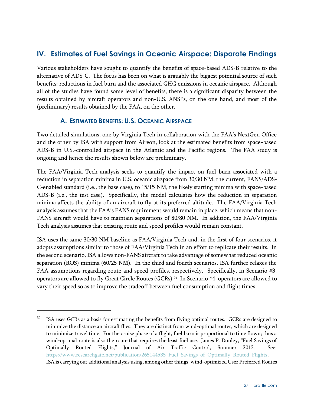# <span id="page-37-0"></span>**IV. Estimates of Fuel Savings in Oceanic Airspace: Disparate Findings**

Various stakeholders have sought to quantify the benefits of space-based ADS-B relative to the alternative of ADS-C. The focus has been on what is arguably the biggest potential source of such benefits: reductions in fuel burn and the associated GHG emissions in oceanic airspace. Although all of the studies have found some level of benefits, there is a significant disparity between the results obtained by aircraft operators and non-U.S. ANSPs, on the one hand, and most of the (preliminary) results obtained by the FAA, on the other.

# **A. ESTIMATED BENEFITS: U.S. OCEANIC AIRSPACE**

<span id="page-37-1"></span>Two detailed simulations, one by Virginia Tech in collaboration with the FAA's NextGen Office and the other by ISA with support from Aireon, look at the estimated benefits from space-based ADS-B in U.S.-controlled airspace in the Atlantic and the Pacific regions. The FAA study is ongoing and hence the results shown below are preliminary.

The FAA/Virginia Tech analysis seeks to quantify the impact on fuel burn associated with a reduction in separation minima in U.S. oceanic airspace from 30/30 NM, the current, FANS/ADS-C-enabled standard (i.e., the base case), to 15/15 NM, the likely starting minima with space-based ADS-B (i.e., the test case). Specifically, the model calculates how the reduction in separation minima affects the ability of an aircraft to fly at its preferred altitude. The FAA/Virginia Tech analysis assumes that the FAA's FANS requirement would remain in place, which means that non-FANS aircraft would have to maintain separations of 80/80 NM. In addition, the FAA/Virginia Tech analysis assumes that existing route and speed profiles would remain constant.

ISA uses the same 30/30 NM baseline as FAA/Virginia Tech and, in the first of four scenarios, it adopts assumptions similar to those of FAA/Virginia Tech in an effort to replicate their results. In the second scenario, ISA allows non-FANS aircraft to take advantage of somewhat reduced oceanic separation (ROS) minima (60/25 NM). In the third and fourth scenarios, ISA further relaxes the FAA assumptions regarding route and speed profiles, respectively. Specifically, in Scenario #3, operators are allowed to fly Great Circle Routes (GCRs).<sup>52</sup> In Scenario #4, operators are allowed to vary their speed so as to improve the tradeoff between fuel consumption and flight times.

 $\overline{a}$ 

 $52$  ISA uses GCRs as a basis for estimating the benefits from flying optimal routes. GCRs are designed to minimize the distance an aircraft flies. They are distinct from wind-optimal routes, which are designed to minimize travel time. For the cruise phase of a flight, fuel burn is proportional to time flown; thus a wind-optimal route is also the route that requires the least fuel use. James P. Donley, "Fuel Savings of Optimally Routed Flights," Journal of Air Traffic Control, Summer 2012. See: https://www.researchgate.net/publication/265144535 Fuel Savings of Optimally Routed Flights. ISA is carrying out additional analysis using, among other things, wind-optimized User Preferred Routes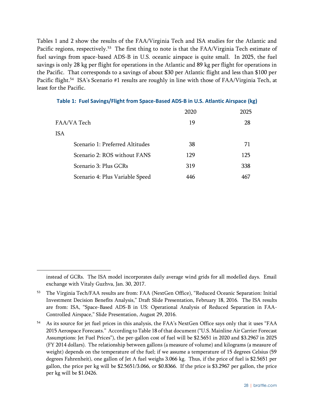Tables 1 and 2 show the results of the FAA/Virginia Tech and ISA studies for the Atlantic and Pacific regions, respectively.<sup>53</sup> The first thing to note is that the FAA/Virginia Tech estimate of fuel savings from space-based ADS-B in U.S. oceanic airspace is quite small. In 2025, the fuel savings is only 28 kg per flight for operations in the Atlantic and 89 kg per flight for operations in the Pacific. That corresponds to a savings of about \$30 per Atlantic flight and less than \$100 per Pacific flight.<sup>54</sup> ISA's Scenario #1 results are roughly in line with those of FAA/Virginia Tech, at least for the Pacific.

|                                 | 2020 | 2025 |
|---------------------------------|------|------|
| FAA/VA Tech                     | 19   | 28   |
| <b>ISA</b>                      |      |      |
| Scenario 1: Preferred Altitudes | 38   | 71   |
| Scenario 2: ROS without FANS    | 129  | 125  |
| Scenario 3: Plus GCRs           | 319  | 338  |
| Scenario 4: Plus Variable Speed | 446  | 467  |

|  |  | Table 1: Fuel Savings/Flight from Space-Based ADS-B in U.S. Atlantic Airspace (kg) |  |  |  |
|--|--|------------------------------------------------------------------------------------|--|--|--|
|--|--|------------------------------------------------------------------------------------|--|--|--|

 $\overline{a}$ 

instead of GCRs. The ISA model incorporates daily average wind grids for all modelled days. Email exchange with Vitaly Guzhva, Jan. 30, 2017.

<sup>53</sup> The Virginia Tech/FAA results are from: FAA (NextGen Office), "Reduced Oceanic Separation: Initial Investment Decision Benefits Analysis," Draft Slide Presentation, February 18, 2016. The ISA results are from: ISA, "Space-Based ADS-B in US: Operational Analysis of Reduced Separation in FAA-Controlled Airspace," Slide Presentation, August 29, 2016.

<sup>&</sup>lt;sup>54</sup> As its source for jet fuel prices in this analysis, the FAA's NextGen Office says only that it uses "FAA 2015 Aerospace Forecasts." According to Table 18 of that document ("U.S. Mainline Air Carrier Forecast Assumptions: Jet Fuel Prices"), the per-gallon cost of fuel will be \$2.5651 in 2020 and \$3.2967 in 2025 (FY 2014 dollars). The relationship between gallons (a measure of volume) and kilograms (a measure of weight) depends on the temperature of the fuel; if we assume a temperature of 15 degrees Celsius (59 degrees Fahrenheit), one gallon of Jet A fuel weighs 3.066 kg. Thus, if the price of fuel is \$2.5651 per gallon, the price per kg will be \$2.5651/3.066, or \$0.8366. If the price is \$3.2967 per gallon, the price per kg will be \$1.0426.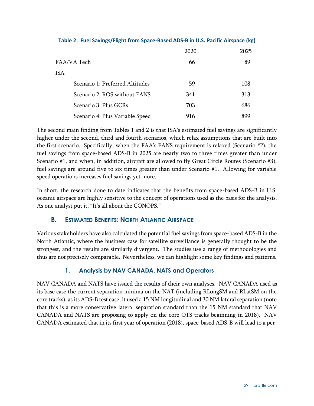|                                 | 2020 | 2025 |
|---------------------------------|------|------|
| FAA/VA Tech                     | 66   | 89   |
| <b>ISA</b>                      |      |      |
| Scenario 1: Preferred Altitudes | 59   | 108  |
| Scenario 2: ROS without FANS    | 341  | 313  |
| Scenario 3: Plus GCRs           | 703  | 686  |
| Scenario 4: Plus Variable Speed | 916  | 899  |

#### **Table 2: Fuel Savings/Flight from Space-Based ADS-B in U.S. Pacific Airspace (kg)**

The second main finding from Tables 1 and 2 is that ISA's estimated fuel savings are significantly higher under the second, third and fourth scenarios, which relax assumptions that are built into the first scenario. Specifically, when the FAA's FANS requirement is relaxed (Scenario #2), the fuel savings from space-based ADS-B in 2025 are nearly two to three times greater than under Scenario #1, and when, in addition, aircraft are allowed to fly Great Circle Routes (Scenario #3), fuel savings are around five to six times greater than under Scenario #1. Allowing for variable speed operations increases fuel savings yet more.

In short, the research done to date indicates that the benefits from space-based ADS-B in U.S. oceanic airspace are highly sensitive to the concept of operations used as the basis for the analysis. As one analyst put it, "It's all about the CONOPS."

# <span id="page-39-0"></span>**B. ESTIMATED BENEFITS: NORTH ATLANTIC AIRSPACE**

Various stakeholders have also calculated the potential fuel savings from space-based ADS-B in the North Atlantic, where the business case for satellite surveillance is generally thought to be the strongest, and the results are similarly divergent. The studies use a range of methodologies and thus are not precisely comparable. Nevertheless, we can highlight some key findings and patterns.

#### **1. Analysis by NAV CANADA, NATS and Operators**

<span id="page-39-1"></span>NAV CANADA and NATS have issued the results of their own analyses. NAV CANADA used as its base case the current separation minima on the NAT (including RLongSM and RLatSM on the core tracks); as its ADS-B test case, it used a 15 NM longitudinal and 30 NM lateral separation (note that this is a more conservative lateral separation standard than the 15 NM standard that NAV CANADA and NATS are proposing to apply on the core OTS tracks beginning in 2018). NAV CANADA estimated that in its first year of operation (2018), space-based ADS-B will lead to a per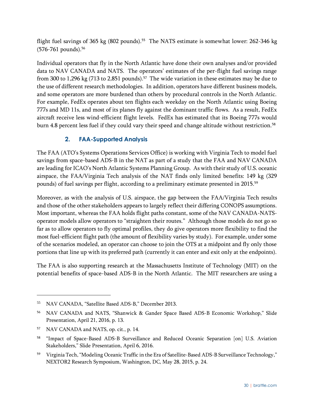flight fuel savings of 365 kg (802 pounds).<sup>55</sup> The NATS estimate is somewhat lower: 262-346 kg (576-761 pounds).<sup>56</sup>

Individual operators that fly in the North Atlantic have done their own analyses and/or provided data to NAV CANADA and NATS. The operators' estimates of the per-flight fuel savings range from 300 to 1,296 kg (713 to 2,851 pounds). $^{57}$  The wide variation in these estimates may be due to the use of different research methodologies. In addition, operators have different business models, and some operators are more burdened than others by procedural controls in the North Atlantic. For example, FedEx operates about ten flights each weekday on the North Atlantic using Boeing 777s and MD 11s, and most of its planes fly against the dominant traffic flows. As a result, FedEx aircraft receive less wind-efficient flight levels. FedEx has estimated that its Boeing 777s would burn 4.8 percent less fuel if they could vary their speed and change altitude without restriction.<sup>58</sup>

# **2. FAA-Supported Analysis**

<span id="page-40-0"></span>The FAA (ATO's Systems Operations Services Office) is working with Virginia Tech to model fuel savings from space-based ADS-B in the NAT as part of a study that the FAA and NAV CANADA are leading for ICAO's North Atlantic Systems Planning Group. As with their study of U.S. oceanic airspace, the FAA/Virginia Tech analysis of the NAT finds only limited benefits: 149 kg (329 pounds) of fuel savings per flight, according to a preliminary estimate presented in 2015.<sup>59</sup>

Moreover, as with the analysis of U.S. airspace, the gap between the FAA/Virginia Tech results and those of the other stakeholders appears to largely reflect their differing CONOPS assumptions. Most important, whereas the FAA holds flight paths constant, some of the NAV CANADA-NATSoperator models allow operators to "straighten their routes." Although those models do not go so far as to allow operators to fly optimal profiles, they do give operators more flexibility to find the most fuel-efficient flight path (the amount of flexibility varies by study). For example, under some of the scenarios modeled, an operator can choose to join the OTS at a midpoint and fly only those portions that line up with its preferred path (currently it can enter and exit only at the endpoints).

The FAA is also supporting research at the Massachusetts Institute of Technology (MIT) on the potential benefits of space-based ADS-B in the North Atlantic. The MIT researchers are using a

<sup>55</sup> NAV CANADA, "Satellite Based ADS-B," December 2013.

<sup>56</sup> NAV CANADA and NATS, "Shanwick & Gander Space Based ADS-B Economic Workshop," Slide Presentation, April 21, 2016, p. 13.

<sup>57</sup> NAV CANADA and NATS, op. cit., p. 14.

<sup>&</sup>lt;sup>58</sup> "Impact of Space-Based ADS-B Surveillance and Reduced Oceanic Separation [on] U.S. Aviation Stakeholders," Slide Presentation, April 6, 2016.

<sup>&</sup>lt;sup>59</sup> Virginia Tech, "Modeling Oceanic Traffic in the Era of Satellite-Based ADS-B Surveillance Technology," NEXTOR2 Research Symposium, Washington, DC, May 28, 2015, p. 24.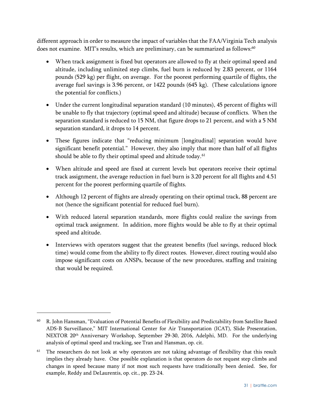different approach in order to measure the impact of variables that the FAA/Virginia Tech analysis does not examine.  $\rm MIT$ 's results, which are preliminary, can be summarized as follows: $^{60}$ 

- When track assignment is fixed but operators are allowed to fly at their optimal speed and altitude, including unlimited step climbs, fuel burn is reduced by 2.83 percent, or 1164 pounds (529 kg) per flight, on average. For the poorest performing quartile of flights, the average fuel savings is 3.96 percent, or 1422 pounds (645 kg). (These calculations ignore the potential for conflicts.)
- Under the current longitudinal separation standard (10 minutes), 45 percent of flights will be unable to fly that trajectory (optimal speed and altitude) because of conflicts. When the separation standard is reduced to 15 NM, that figure drops to 21 percent, and with a 5 NM separation standard, it drops to 14 percent.
- These figures indicate that "reducing minimum [longitudinal] separation would have significant benefit potential." However, they also imply that more than half of all flights should be able to fly their optimal speed and altitude today.<sup>61</sup>
- When altitude and speed are fixed at current levels but operators receive their optimal track assignment, the average reduction in fuel burn is 3.20 percent for all flights and 4.51 percent for the poorest performing quartile of flights.
- Although 12 percent of flights are already operating on their optimal track, 88 percent are not (hence the significant potential for reduced fuel burn).
- With reduced lateral separation standards, more flights could realize the savings from optimal track assignment. In addition, more flights would be able to fly at their optimal speed and altitude.
- Interviews with operators suggest that the greatest benefits (fuel savings, reduced block time) would come from the ability to fly direct routes. However, direct routing would also impose significant costs on ANSPs, because of the new procedures, staffing and training that would be required.

<sup>60</sup> R. John Hansman, "Evaluation of Potential Benefits of Flexibility and Predictability from Satellite Based ADS-B Surveillance," MIT International Center for Air Transportation (ICAT), Slide Presentation, NEXTOR 20th Anniversary Workshop, September 29-30, 2016, Adelphi, MD. For the underlying analysis of optimal speed and tracking, see Tran and Hansman, op. cit.

<sup>&</sup>lt;sup>61</sup> The researchers do not look at why operators are not taking advantage of flexibility that this result implies they already have. One possible explanation is that operators do not request step climbs and changes in speed because many if not most such requests have traditionally been denied. See, for example, Reddy and DeLaurentis, op. cit., pp. 23-24.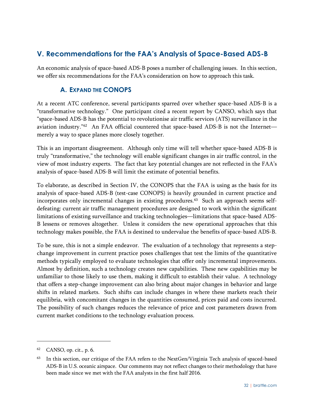# <span id="page-42-0"></span>**V. Recommendations for the FAA's Analysis of Space-Based ADS-B**

<span id="page-42-1"></span>An economic analysis of space-based ADS-B poses a number of challenging issues. In this section, we offer six recommendations for the FAA's consideration on how to approach this task.

# **A. EXPAND THE CONOPS**

At a recent ATC conference, several participants sparred over whether space-based ADS-B is a "transformative technology." One participant cited a recent report by CANSO, which says that "space-based ADS-B has the potential to revolutionise air traffic services (ATS) surveillance in the aviation industry."<sup>62</sup> An FAA official countered that space-based ADS-B is not the Internet merely a way to space planes more closely together.

This is an important disagreement. Although only time will tell whether space-based ADS-B is truly "transformative," the technology will enable significant changes in air traffic control, in the view of most industry experts. The fact that key potential changes are not reflected in the FAA's analysis of space-based ADS-B will limit the estimate of potential benefits.

To elaborate, as described in Section IV, the CONOPS that the FAA is using as the basis for its analysis of space-based ADS-B (test-case CONOPS) is heavily grounded in current practice and incorporates only incremental changes in existing procedures.<sup>63</sup> Such an approach seems selfdefeating: current air traffic management procedures are designed to work within the significant limitations of existing surveillance and tracking technologies—limitations that space-based ADS-B lessens or removes altogether. Unless it considers the new operational approaches that this technology makes possible, the FAA is destined to undervalue the benefits of space-based ADS-B.

To be sure, this is not a simple endeavor. The evaluation of a technology that represents a stepchange improvement in current practice poses challenges that test the limits of the quantitative methods typically employed to evaluate technologies that offer only incremental improvements. Almost by definition, such a technology creates new capabilities. These new capabilities may be unfamiliar to those likely to use them, making it difficult to establish their value. A technology that offers a step-change improvement can also bring about major changes in behavior and large shifts in related markets. Such shifts can include changes in where these markets reach their equilibria, with concomitant changes in the quantities consumed, prices paid and costs incurred. The possibility of such changes reduces the relevance of price and cost parameters drawn from current market conditions to the technology evaluation process.

<sup>62</sup> CANSO, op. cit., p. 6.

In this section, our critique of the FAA refers to the NextGen/Virginia Tech analysis of spaced-based ADS-B in U.S. oceanic airspace. Our comments may not reflect changes to their methodology that have been made since we met with the FAA analysts in the first half 2016.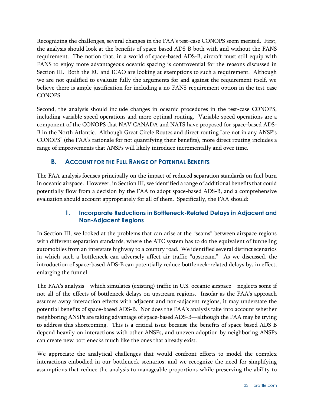Recognizing the challenges, several changes in the FAA's test-case CONOPS seem merited. First, the analysis should look at the benefits of space-based ADS-B both with and without the FANS requirement. The notion that, in a world of space-based ADS-B, aircraft must still equip with FANS to enjoy more advantageous oceanic spacing is controversial for the reasons discussed in Section III. Both the EU and ICAO are looking at exemptions to such a requirement. Although we are not qualified to evaluate fully the arguments for and against the requirement itself, we believe there is ample justification for including a no-FANS-requirement option in the test-case CONOPS.

Second, the analysis should include changes in oceanic procedures in the test-case CONOPS, including variable speed operations and more optimal routing. Variable speed operations are a component of the CONOPS that NAV CANADA and NATS have proposed for space-based ADS-B in the North Atlantic. Although Great Circle Routes and direct routing "are not in any ANSP's CONOPS" (the FAA's rationale for not quantifying their benefits), more direct routing includes a range of improvements that ANSPs will likely introduce incrementally and over time.

# <span id="page-43-0"></span>**B. ACCOUNT FOR THE FULL RANGE OF POTENTIAL BENEFITS**

The FAA analysis focuses principally on the impact of reduced separation standards on fuel burn in oceanic airspace. However, in Section III, we identified a range of additional benefits that could potentially flow from a decision by the FAA to adopt space-based ADS-B, and a comprehensive evaluation should account appropriately for all of them. Specifically, the FAA should:

#### **1. Incorporate Reductions in Bottleneck-Related Delays in Adjacent and Non-Adjacent Regions**

<span id="page-43-1"></span>In Section III, we looked at the problems that can arise at the "seams" between airspace regions with different separation standards, where the ATC system has to do the equivalent of funneling automobiles from an interstate highway to a country road. We identified several distinct scenarios in which such a bottleneck can adversely affect air traffic "upstream." As we discussed, the introduction of space-based ADS-B can potentially reduce bottleneck-related delays by, in effect, enlarging the funnel.

The FAA's analysis—which simulates (existing) traffic in U.S. oceanic airspace—neglects some if not all of the effects of bottleneck delays on upstream regions. Insofar as the FAA's approach assumes away interaction effects with adjacent and non-adjacent regions, it may understate the potential benefits of space-based ADS-B. Nor does the FAA's analysis take into account whether neighboring ANSPs are taking advantage of space-based ADS-B—although the FAA may be trying to address this shortcoming. This is a critical issue because the benefits of space-based ADS-B depend heavily on interactions with other ANSPs, and uneven adoption by neighboring ANSPs can create new bottlenecks much like the ones that already exist.

We appreciate the analytical challenges that would confront efforts to model the complex interactions embodied in our bottleneck scenarios, and we recognize the need for simplifying assumptions that reduce the analysis to manageable proportions while preserving the ability to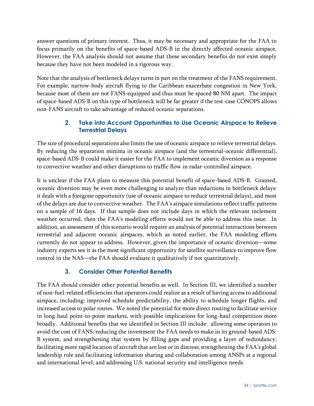answer questions of primary interest. Thus, it may be necessary and appropriate for the FAA to focus primarily on the benefits of space-based ADS-B in the directly affected oceanic airspace. However, the FAA analysis should not assume that these secondary benefits do not exist simply because they have not been modeled in a rigorous way.

Note that the analysis of bottleneck delays turns in part on the treatment of the FANS requirement. For example, narrow-body aircraft flying to the Caribbean exacerbate congestion in New York, because most of them are not FANS-equipped and thus must be spaced 80 NM apart. The impact of space-based ADS-B on this type of bottleneck will be far greater if the test-case CONOPS allows non-FANS aircraft to take advantage of reduced oceanic separations.

# **2. Take into Account Opportunities to Use Oceanic Airspace to Relieve Terrestrial Delays**

<span id="page-44-0"></span>The size of procedural separations also limits the use of oceanic airspace to relieve terrestrial delays. By reducing the separation minima in oceanic airspace (and the terrestrial-oceanic differential), space-based ADS-B could make it easier for the FAA to implement oceanic diversion as a response to convective weather and other disruptions to traffic flow in radar-controlled airspace.

It is unclear if the FAA plans to measure this potential benefit of space-based ADS-B. Granted, oceanic diversion may be even more challenging to analyze than reductions in bottleneck delays: it deals with a foregone opportunity (use of oceanic airspace to reduce terrestrial delays), and most of the delays are due to convective weather. The FAA's airspace simulations reflect traffic patterns on a sample of 16 days. If that sample does not include days in which the relevant inclement weather occurred, then the FAA's modeling efforts would not be able to address this issue. In addition, an assessment of this scenario would require an analysis of potential interactions between terrestrial and adjacent oceanic airspaces, which as noted earlier, the FAA modeling efforts currently do not appear to address. However, given the importance of oceanic diversion—some industry experts see it as the most significant opportunity for satellite surveillance to improve flow control in the NAS—the FAA should evaluate it qualitatively if not quantitatively.

# **3. Consider Other Potential Benefits**

<span id="page-44-1"></span>The FAA should consider other potential benefits as well. In Section III, we identified a number of non-fuel-related efficiencies that operators could realize as a result of having access to additional airspace, including: improved schedule predictability, the ability to schedule longer flights, and increased access to polar routes. We noted the potential for more direct routing to facilitate service in long-haul point-to-point markets, with possible implications for long-haul competition more broadly. Additional benefits that we identified in Section III include: allowing some operators to avoid the cost of FANS; reducing the investment the FAA needs to make in its ground-based ADS-B system, and strengthening that system by filling gaps and providing a layer of redundancy; facilitating more rapid location of aircraft that are lost or in distress; strengthening the FAA's global leadership role and facilitating information sharing and collaboration among ANSPs at a regional and international level; and addressing U.S. national security and intelligence needs.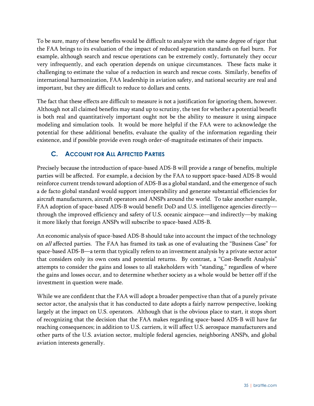To be sure, many of these benefits would be difficult to analyze with the same degree of rigor that the FAA brings to its evaluation of the impact of reduced separation standards on fuel burn. For example, although search and rescue operations can be extremely costly, fortunately they occur very infrequently, and each operation depends on unique circumstances. These facts make it challenging to estimate the value of a reduction in search and rescue costs. Similarly, benefits of international harmonization, FAA leadership in aviation safety, and national security are real and important, but they are difficult to reduce to dollars and cents.

The fact that these effects are difficult to measure is not a justification for ignoring them, however. Although not all claimed benefits may stand up to scrutiny, the test for whether a potential benefit is both real and quantitatively important ought not be the ability to measure it using airspace modeling and simulation tools. It would be more helpful if the FAA were to acknowledge the potential for these additional benefits, evaluate the quality of the information regarding their existence, and if possible provide even rough order-of-magnitude estimates of their impacts.

# <span id="page-45-0"></span>**C. ACCOUNT FOR ALL AFFECTED PARTIES**

Precisely because the introduction of space-based ADS-B will provide a range of benefits, multiple parties will be affected. For example, a decision by the FAA to support space-based ADS-B would reinforce current trends toward adoption of ADS-B as a global standard, and the emergence of such a de facto global standard would support interoperability and generate substantial efficiencies for aircraft manufacturers, aircraft operators and ANSPs around the world. To take another example, FAA adoption of space-based ADS-B would benefit DoD and U.S. intelligence agencies directly through the improved efficiency and safety of U.S. oceanic airspace—and indirectly—by making it more likely that foreign ANSPs will subscribe to space-based ADS-B.

An economic analysis of space-based ADS-B should take into account the impact of the technology on all affected parties. The FAA has framed its task as one of evaluating the "Business Case" for space-based ADS-B—a term that typically refers to an investment analysis by a private sector actor that considers only its own costs and potential returns. By contrast, a "Cost-Benefit Analysis" attempts to consider the gains and losses to all stakeholders with "standing," regardless of where the gains and losses occur, and to determine whether society as a whole would be better off if the investment in question were made.

While we are confident that the FAA will adopt a broader perspective than that of a purely private sector actor, the analysis that it has conducted to date adopts a fairly narrow perspective, looking largely at the impact on U.S. operators. Although that is the obvious place to start, it stops short of recognizing that the decision that the FAA makes regarding space-based ADS-B will have far reaching consequences; in addition to U.S. carriers, it will affect U.S. aerospace manufacturers and other parts of the U.S. aviation sector, multiple federal agencies, neighboring ANSPs, and global aviation interests generally.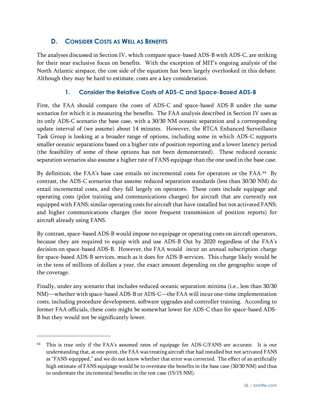# **D. CONSIDER COSTS AS WELL AS BENEFITS**

<span id="page-46-0"></span>The analyses discussed in Section IV, which compare space-based ADS-B with ADS-C, are striking for their near exclusive focus on benefits. With the exception of MIT's ongoing analysis of the North Atlantic airspace, the cost side of the equation has been largely overlooked in this debate. Although they may be hard to estimate, costs are a key consideration.

## **1. Consider the Relative Costs of ADS-C and Space-Based ADS-B**

<span id="page-46-1"></span>First, the FAA should compare the costs of ADS-C and space-based ADS-B under the same scenarios for which it is measuring the benefits. The FAA analysis described in Section IV uses as its only ADS-C scenario the base case, with a 30/30 NM oceanic separation and a corresponding update interval of (we assume) about 14 minutes. However, the RTCA Enhanced Surveillance Task Group is looking at a broader range of options, including some in which ADS-C supports smaller oceanic separations based on a higher rate of position reporting and a lower latency period (the feasibility of some of these options has not been demonstrated). These reduced oceanic separation scenarios also assume a higher rate of FANS equipage than the one used in the base case.

By definition, the FAA's base case entails no incremental costs for operators or the FAA. 64 By contrast, the ADS-C scenarios that assume reduced separation standards (less than 30/30 NM) do entail incremental costs, and they fall largely on operators. These costs include equipage and operating costs (pilot training and communications charges) for aircraft that are currently not equipped with FANS; similar operating costs for aircraft that have installed but not activated FANS; and higher communications charges (for more frequent transmission of position reports) for aircraft already using FANS.

By contrast, space-based ADS-B would impose no equipage or operating costs on aircraft operators, because they are required to equip with and use ADS-B Out by 2020 regardless of the FAA's decision on space-based ADS-B. However, the FAA would incur an annual subscription charge for space-based ADS-B services, much as it does for ADS-B services. This charge likely would be in the tens of millions of dollars a year, the exact amount depending on the geographic scope of the coverage.

Finally, under any scenario that includes reduced oceanic separation minima (i.e., less than 30/30 NM)—whether with space-based ADS-B or ADS-C—the FAA will incur one-time implementation costs, including procedure development, software upgrades and controller training. According to former FAA officials, these costs might be somewhat lower for ADS-C than for space-based ADS-B but they would not be significantly lower.

<sup>64</sup> This is true only if the FAA's assumed rates of equipage for ADS-C/FANS are accurate. It is our understanding that, at one point, the FAA was treating aircraft that had installed but not activated FANS as "FANS-equipped," and we do not know whether that error was corrected. The effect of an artificially high estimate of FANS equipage would be to overstate the benefits in the base case (30/30 NM) and thus to understate the incremental benefits in the test case (15/15 NM).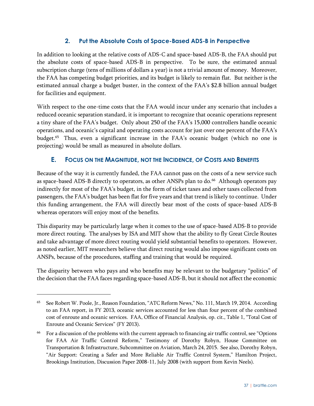#### **2. Put the Absolute Costs of Space-Based ADS-B in Perspective**

<span id="page-47-0"></span>In addition to looking at the relative costs of ADS-C and space-based ADS-B, the FAA should put the absolute costs of space-based ADS-B in perspective. To be sure, the estimated annual subscription charge (tens of millions of dollars a year) is not a trivial amount of money. Moreover, the FAA has competing budget priorities, and its budget is likely to remain flat. But neither is the estimated annual charge a budget buster, in the context of the FAA's \$2.8 billion annual budget for facilities and equipment.

With respect to the one-time costs that the FAA would incur under any scenario that includes a reduced oceanic separation standard, it is important to recognize that oceanic operations represent a tiny share of the FAA's budget. Only about 250 of the FAA's 15,000 controllers handle oceanic operations, and oceanic's capital and operating costs account for just over one percent of the FAA's budget.<sup>65</sup> Thus, even a significant increase in the FAA's oceanic budget (which no one is projecting) would be small as measured in absolute dollars.

# <span id="page-47-1"></span>**E. FOCUS ON THE MAGNITUDE, NOT THE INCIDENCE, OF COSTS AND BENEFITS**

Because of the way it is currently funded, the FAA cannot pass on the costs of a new service such as space-based ADS-B directly to operators, as other ANSPs plan to do.<sup>66</sup> Although operators pay indirectly for most of the FAA's budget, in the form of ticket taxes and other taxes collected from passengers, the FAA's budget has been flat for five years and that trend is likely to continue. Under this funding arrangement, the FAA will directly bear most of the costs of space-based ADS-B whereas operators will enjoy most of the benefits.

This disparity may be particularly large when it comes to the use of space-based ADS-B to provide more direct routing. The analyses by ISA and MIT show that the ability to fly Great Circle Routes and take advantage of more direct routing would yield substantial benefits to operators. However, as noted earlier, MIT researchers believe that direct routing would also impose significant costs on ANSPs, because of the procedures, staffing and training that would be required.

The disparity between who pays and who benefits may be relevant to the budgetary "politics" of the decision that the FAA faces regarding space-based ADS-B, but it should not affect the economic

<sup>&</sup>lt;sup>65</sup> See Robert W. Poole, Jr., Reason Foundation, "ATC Reform News," No. 111, March 19, 2014. According to an FAA report, in FY 2013, oceanic services accounted for less than four percent of the combined cost of enroute and oceanic services. FAA, Office of Financial Analysis, op. cit., Table 1, "Total Cost of Enroute and Oceanic Services" (FY 2013).

<sup>66</sup> For a discussion of the problems with the current approach to financing air traffic control, see "Options for FAA Air Traffic Control Reform," Testimony of Dorothy Robyn, House Committee on Transportation & Infrastructure, Subcommittee on Aviation, March 24, 2015. See also, Dorothy Robyn, "Air Support: Creating a Safer and More Reliable Air Traffic Control System," Hamilton Project, Brookings Institution, Discussion Paper 2008-11, July 2008 (with support from Kevin Neels).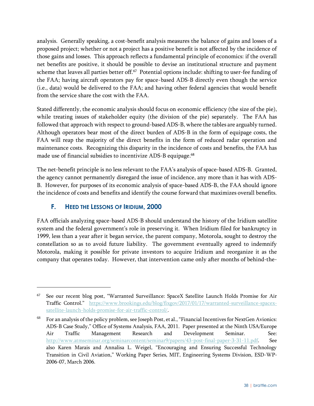analysis. Generally speaking, a cost-benefit analysis measures the balance of gains and losses of a proposed project; whether or not a project has a positive benefit is not affected by the incidence of those gains and losses. This approach reflects a fundamental principle of economics: if the overall net benefits are positive, it should be possible to devise an institutional structure and payment scheme that leaves all parties better off. $^{67}$  Potential options include: shifting to user-fee funding of the FAA; having aircraft operators pay for space-based ADS-B directly even though the service (i.e., data) would be delivered to the FAA; and having other federal agencies that would benefit from the service share the cost with the FAA.

Stated differently, the economic analysis should focus on economic efficiency (the size of the pie), while treating issues of stakeholder equity (the division of the pie) separately. The FAA has followed that approach with respect to ground-based ADS-B, where the tables are arguably turned. Although operators bear most of the direct burden of ADS-B in the form of equipage costs, the FAA will reap the majority of the direct benefits in the form of reduced radar operation and maintenance costs. Recognizing this disparity in the incidence of costs and benefits, the FAA has made use of financial subsidies to incentivize ADS-B equipage. 68

The net-benefit principle is no less relevant to the FAA's analysis of space-based ADS-B. Granted, the agency cannot permanently disregard the issue of incidence, any more than it has with ADS-B. However, for purposes of its economic analysis of space-based ADS-B, the FAA should ignore the incidence of costs and benefits and identify the course forward that maximizes overall benefits.

# <span id="page-48-0"></span>**F. HEED THE LESSONS OF IRIDIUM, 2000**

 $\overline{a}$ 

FAA officials analyzing space-based ADS-B should understand the history of the Iridium satellite system and the federal government's role in preserving it. When Iridium filed for bankruptcy in 1999, less than a year after it began service, the parent company, Motorola, sought to destroy the constellation so as to avoid future liability. The government eventually agreed to indemnify Motorola, making it possible for private investors to acquire Iridium and reorganize it as the company that operates today. However, that intervention came only after months of behind-the-

<sup>67</sup> See our recent blog post, "Warranted Surveillance: SpaceX Satellite Launch Holds Promise for Air Traffic Control." [https://www.brookings.edu/blog/fixgov/2017/01/17/warranted-surveillance-spacex](https://www.brookings.edu/blog/fixgov/2017/01/17/warranted-surveillance-spacex-satellite-launch-holds-promise-for-air-traffic-control/)[satellite-launch-holds-promise-for-air-traffic-control/.](https://www.brookings.edu/blog/fixgov/2017/01/17/warranted-surveillance-spacex-satellite-launch-holds-promise-for-air-traffic-control/)

<sup>68</sup> For an analysis of the policy problem, see Joseph Post, et al., "Financial Incentives for NextGen Avionics: ADS-B Case Study," Office of Systems Analysis, FAA, 2011. Paper presented at the Ninth USA/Europe Air Traffic Management Research and Development Seminar. See: [http://www.atmseminar.org/seminarcontent/seminar9/papers/43-post-final-paper-3-31-11.pdf.](http://www.atmseminar.org/seminarcontent/seminar9/papers/43-post-final-paper-3-31-11.pdf) See also Karen Marais and Annalisa L. Weigel, "Encouraging and Ensuring Successful Technology Transition in Civil Aviation," Working Paper Series, MIT, Engineering Systems Division, ESD-WP-2006-07, March 2006.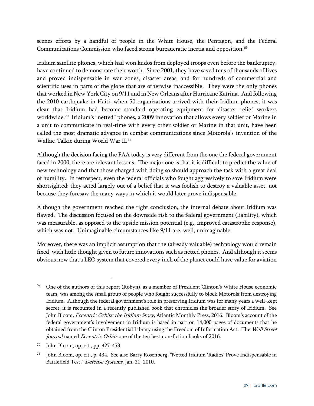scenes efforts by a handful of people in the White House, the Pentagon, and the Federal Communications Commission who faced strong bureaucratic inertia and opposition.<sup>69</sup>

Iridium satellite phones, which had won kudos from deployed troops even before the bankruptcy, have continued to demonstrate their worth. Since 2001, they have saved tens of thousands of lives and proved indispensable in war zones, disaster areas, and for hundreds of commercial and scientific uses in parts of the globe that are otherwise inaccessible. They were the only phones that worked in New York City on 9/11 and in New Orleans after Hurricane Katrina. And following the 2010 earthquake in Haiti, when 50 organizations arrived with their Iridium phones, it was clear that Iridium had become standard operating equipment for disaster relief workers worldwide. 70 Iridium's "netted" phones, a 2009 innovation that allows every soldier or Marine in a unit to communicate in real-time with every other soldier or Marine in that unit, have been called the most dramatic advance in combat communications since Motorola's invention of the Walkie-Talkie during World War II.<sup>71</sup>

Although the decision facing the FAA today is very different from the one the federal government faced in 2000, there are relevant lessons. The major one is that it is difficult to predict the value of new technology and that those charged with doing so should approach the task with a great deal of humility. In retrospect, even the federal officials who fought aggressively to save Iridium were shortsighted: they acted largely out of a belief that it was foolish to destroy a valuable asset, not because they foresaw the many ways in which it would later prove indispensable.

Although the government reached the right conclusion, the internal debate about Iridium was flawed. The discussion focused on the downside risk to the federal government (liability), which was measurable, as opposed to the upside mission potential (e.g., improved catastrophe response), which was not. Unimaginable circumstances like 9/11 are, well, unimaginable.

Moreover, there was an implicit assumption that the (already valuable) technology would remain fixed, with little thought given to future innovations such as netted phones. And although it seems obvious now that a LEO system that covered every inch of the planet could have value for aviation

 $\overline{a}$ 

 $69$  One of the authors of this report (Robyn), as a member of President Clinton's White House economic team, was among the small group of people who fought successfully to block Motorola from destroying Iridium. Although the federal government's role in preserving Iridium was for many years a well-kept secret, it is recounted in a recently published book that chronicles the broader story of Iridium. See John Bloom, *Eccentric Orbits: the Iridium Story*, Atlantic Monthly Press, 2016. Bloom's account of the federal government's involvement in Iridium is based in part on 14,000 pages of documents that he obtained from the Clinton Presidential Library using the Freedom of Information Act. The Wall Street Journal named Eccentric Orbits one of the ten best non-fiction books of 2016.

<sup>70</sup> John Bloom, op. cit., pp. 427-453.

<sup>71</sup> John Bloom, op. cit., p. 434. See also Barry Rosenberg, "Netted Iridium 'Radios' Prove Indispensable in Battlefield Test," Defense Systems, Jan. 21, 2010.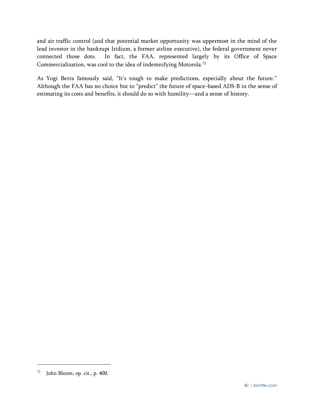and air traffic control (and that potential market opportunity was uppermost in the mind of the lead investor in the bankrupt Iridium, a former airline executive), the federal government never connected those dots. In fact, the FAA, represented largely by its Office of Space Commercialization, was cool to the idea of indemnifying Motorola.<sup>72</sup>

As Yogi Berra famously said, "It's tough to make predictions, especially about the future." Although the FAA has no choice but to "predict" the future of space-based ADS-B in the sense of estimating its costs and benefits, it should do so with humility—and a sense of history.

 $72$  John Bloom, op. cit., p. 400.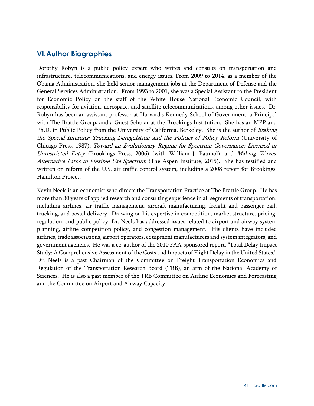# <span id="page-51-0"></span>**VI.Author Biographies**

Dorothy Robyn is a public policy expert who writes and consults on transportation and infrastructure, telecommunications, and energy issues. From 2009 to 2014, as a member of the Obama Administration, she held senior management jobs at the Department of Defense and the General Services Administration. From 1993 to 2001, she was a Special Assistant to the President for Economic Policy on the staff of the White House National Economic Council, with responsibility for aviation, aerospace, and satellite telecommunications, among other issues. Dr. Robyn has been an assistant professor at Harvard's Kennedy School of Government; a Principal with The Brattle Group; and a Guest Scholar at the Brookings Institution. She has an MPP and Ph.D. in Public Policy from the University of California, Berkeley. She is the author of Braking the Special Interests: Trucking Deregulation and the Politics of Policy Reform (University of Chicago Press, 1987); Toward an Evolutionary Regime for Spectrum Governance: Licensed or Unrestricted Entry (Brookings Press, 2006) (with William J. Baumol); and *Making Waves:* Alternative Paths to Flexible Use Spectrum (The Aspen Institute, 2015). She has testified and written on reform of the U.S. air traffic control system, including a 2008 report for Brookings' Hamilton Project.

Kevin Neels is an economist who directs the Transportation Practice at The Brattle Group. He has more than 30 years of applied research and consulting experience in all segments of transportation, including airlines, air traffic management, aircraft manufacturing, freight and passenger rail, trucking, and postal delivery. Drawing on his expertise in competition, market structure, pricing, regulation, and public policy, Dr. Neels has addressed issues related to airport and airway system planning, airline competition policy, and congestion management. His clients have included airlines, trade associations, airport operators, equipment manufacturers and system integrators, and government agencies. He was a co-author of the 2010 FAA-sponsored report, "Total Delay Impact Study: A Comprehensive Assessment of the Costs and Impacts of Flight Delay in the United States." Dr. Neels is a past Chairman of the Committee on Freight Transportation Economics and Regulation of the Transportation Research Board (TRB), an arm of the National Academy of Sciences. He is also a past member of the TRB Committee on Airline Economics and Forecasting and the Committee on Airport and Airway Capacity.